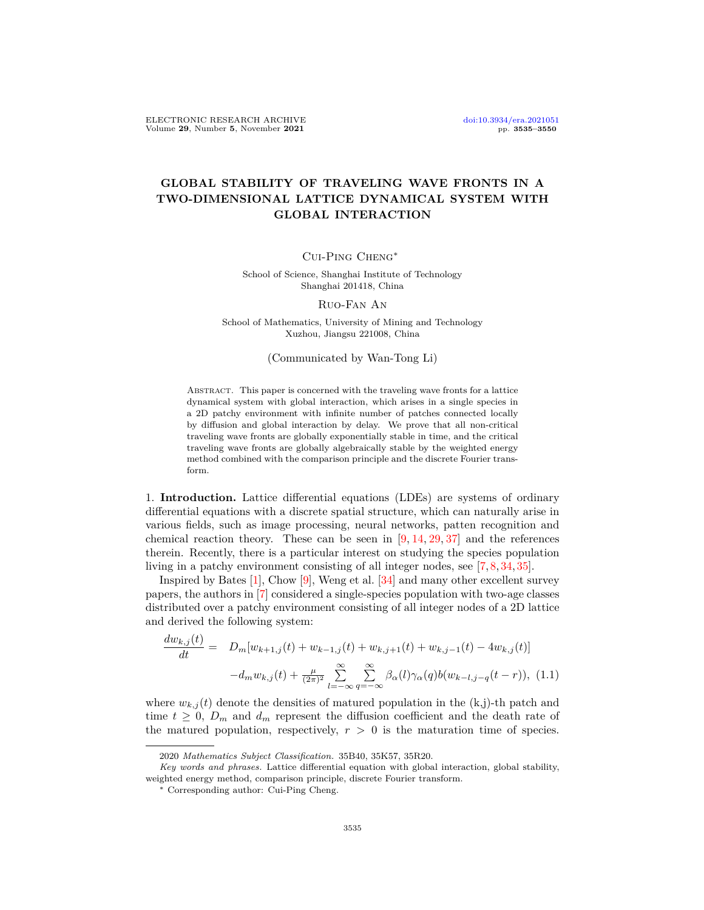## **GLOBAL STABILITY OF TRAVELING WAVE FRONTS IN A TWO-DIMENSIONAL LATTICE DYNAMICAL SYSTEM WITH GLOBAL INTERACTION**

## Cui-Ping Cheng*∗*

School of Science, Shanghai Institute of Technology Shanghai 201418, China

## Ruo-Fan An

School of Mathematics, University of Mining and Technology Xuzhou, Jiangsu 221008, China

(Communicated by Wan-Tong Li)

Abstract. This paper is concerned with the traveling wave fronts for a lattice dynamical system with global interaction, which arises in a single species in a 2D patchy environment with infinite number of patches connected locally by diffusion and global interaction by delay. We prove that all non-critical traveling wave fronts are globally exponentially stable in time, and the critical traveling wave fronts are globally algebraically stable by the weighted energy method combined with the comparison principle and the discrete Fourier transform.

1. **Introduction.** Lattice differential equations (LDEs) are systems of ordinary differential equations with a discrete spatial structure, which can naturally arise in various fields, such as image processing, neural networks, patten recognition and chemical reaction theory. These can be seen in  $[9, 14, 29, 37]$  $[9, 14, 29, 37]$  $[9, 14, 29, 37]$  $[9, 14, 29, 37]$  $[9, 14, 29, 37]$  $[9, 14, 29, 37]$  $[9, 14, 29, 37]$  $[9, 14, 29, 37]$  and the references therein. Recently, there is a particular interest on studying the species population living in a patchy environment consisting of all integer nodes, see [[7,](#page-14-2) [8,](#page-14-3) [34,](#page-15-2) [35\]](#page-15-3).

Inspired by Bates  $[1]$  $[1]$ , Chow  $[9]$  $[9]$ , Weng et al.  $[34]$  $[34]$  $[34]$  and many other excellent survey papers, the authors in [[7\]](#page-14-2) considered a single-species population with two-age classes distributed over a patchy environment consisting of all integer nodes of a 2D lattice and derived the following system:

<span id="page-0-0"></span>
$$
\frac{dw_{k,j}(t)}{dt} = D_m[w_{k+1,j}(t) + w_{k-1,j}(t) + w_{k,j+1}(t) + w_{k,j-1}(t) - 4w_{k,j}(t)] -d_m w_{k,j}(t) + \frac{\mu}{(2\pi)^2} \sum_{l=-\infty}^{\infty} \sum_{q=-\infty}^{\infty} \beta_{\alpha}(l) \gamma_{\alpha}(q) b(w_{k-l,j-q}(t-r)),
$$
(1.1)

where  $w_{k,j}(t)$  denote the densities of matured population in the  $(k,j)$ -th patch and time  $t \geq 0$ ,  $D_m$  and  $d_m$  represent the diffusion coefficient and the death rate of the matured population, respectively,  $r > 0$  is the maturation time of species.

<sup>2020</sup> *Mathematics Subject Classification.* 35B40, 35K57, 35R20.

*Key words and phrases.* Lattice differential equation with global interaction, global stability, weighted energy method, comparison principle, discrete Fourier transform.

*<sup>∗</sup>* Corresponding author: Cui-Ping Cheng.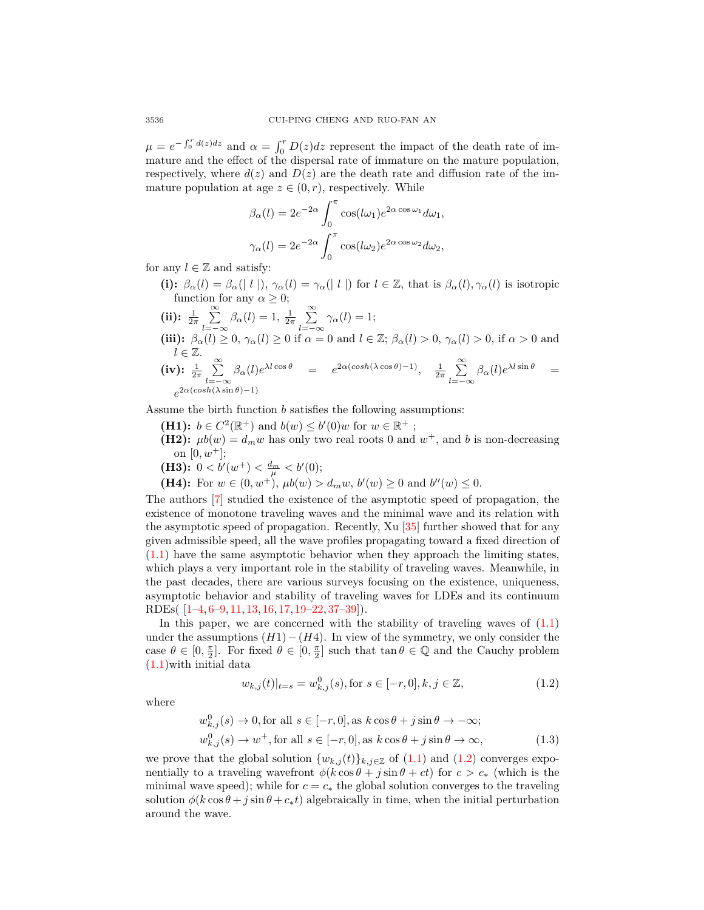$\mu = e^{-\int_0^r d(z)dz}$  and  $\alpha = \int_0^r D(z)dz$  represent the impact of the death rate of immature and the effect of the dispersal rate of immature on the mature population, respectively, where  $d(z)$  and  $D(z)$  are the death rate and diffusion rate of the immature population at age  $z \in (0, r)$ , respectively. While

$$
\beta_{\alpha}(l) = 2e^{-2\alpha} \int_0^{\pi} \cos(l\omega_1) e^{2\alpha \cos \omega_1} d\omega_1,
$$
  

$$
\gamma_{\alpha}(l) = 2e^{-2\alpha} \int_0^{\pi} \cos(l\omega_2) e^{2\alpha \cos \omega_2} d\omega_2,
$$

for any  $l \in \mathbb{Z}$  and satisfy:

- (i):  $\beta_{\alpha}(l) = \beta_{\alpha}(l \mid l \mid), \gamma_{\alpha}(l) = \gamma_{\alpha}(l \mid l \mid)$  for  $l \in \mathbb{Z}$ , that is  $\beta_{\alpha}(l), \gamma_{\alpha}(l)$  is isotropic function for any  $\alpha \geq 0$ ;
- $(iii): \frac{1}{2\pi} \sum_{n=1}^{\infty}$ *l*=*−∞*  $\beta_{\alpha}(l) = 1, \frac{1}{2\pi} \sum_{l=1}^{\infty}$ *l*=*−∞*  $\gamma_{\alpha}(l) = 1;$ (iii):  $\beta_{\alpha}(l) \geq 0$ ,  $\gamma_{\alpha}(l) \geq 0$  if  $\alpha = 0$  and  $l \in \mathbb{Z}$ ;  $\beta_{\alpha}(l) > 0$ ,  $\gamma_{\alpha}(l) > 0$ , if  $\alpha > 0$  and *l ∈* Z.  $(iv)$ :  $\frac{1}{2\pi}$   $\sum^{\infty}$ *l*=*−∞*  $\beta_{\alpha}(l)e^{\lambda l \cos \theta} = e^{2\alpha(\cosh(\lambda \cos \theta)-1)}, \quad \frac{1}{2\pi} \sum_{n=1}^{\infty}$ *l*=*−∞*  $\beta_{\alpha}(l)e^{\lambda l \sin \theta}$  =  $e^{2\alpha(\cosh(\lambda \sin \theta)-1)}$

Assume the birth function *b* satisfies the following assumptions:

**(H1):**  $b \in C^2(\mathbb{R}^+)$  and  $b(w) \le b'(0)w$  for  $w \in \mathbb{R}^+$ ; **(H2):**  $\mu b(w) = d_m w$  has only two real roots 0 and  $w^+$ , and b is non-decreasing on  $[0, w^+]$ ; **(H3):**  $0 < b'(w^+) < \frac{d_m}{\mu} < b'(0);$ 

**(H4):** For  $w \in (0, w^+)$ ,  $\mu b(w) > d_m w$ ,  $b'(w) \ge 0$  and  $b''(w) \le 0$ .

The authors [[7\]](#page-14-2) studied the existence of the asymptotic speed of propagation, the existence of monotone traveling waves and the minimal wave and its relation with the asymptotic speed of propagation. Recently, Xu [[35\]](#page-15-3) further showed that for any given admissible speed, all the wave profiles propagating toward a fixed direction of ([1.1](#page-0-0)) have the same asymptotic behavior when they approach the limiting states, which plays a very important role in the stability of traveling waves. Meanwhile, in the past decades, there are various surveys focusing on the existence, uniqueness, asymptotic behavior and stability of traveling waves for LDEs and its continuum RDEs( [\[1](#page-14-4)[–4](#page-14-5), [6](#page-14-6)[–9](#page-14-0), [11](#page-14-7), [13](#page-14-8), [16](#page-14-9), [17](#page-14-10), [19](#page-14-11)[–22](#page-14-12), [37](#page-15-1)[–39](#page-15-4)]).

In this paper, we are concerned with the stability of traveling waves of  $(1.1)$ under the assumptions (*H*1)*−*(*H*4). In view of the symmetry, we only consider the case  $\theta \in [0, \frac{\pi}{2}]$ . For fixed  $\theta \in [0, \frac{\pi}{2}]$  such that  $\tan \theta \in \mathbb{Q}$  and the Cauchy problem ([1.1](#page-0-0))with initial data

<span id="page-1-0"></span>
$$
w_{k,j}(t)|_{t=s} = w_{k,j}^0(s), \text{for } s \in [-r, 0], k, j \in \mathbb{Z},
$$
\n(1.2)

where

<span id="page-1-1"></span>
$$
w_{k,j}^0(s) \to 0, \text{for all } s \in [-r, 0], \text{ as } k \cos \theta + j \sin \theta \to -\infty;
$$
  

$$
w_{k,j}^0(s) \to w^+, \text{for all } s \in [-r, 0], \text{ as } k \cos \theta + j \sin \theta \to \infty,
$$
 (1.3)

we prove that the global solution  $\{w_{k,j}(t)\}_{k,j\in\mathbb{Z}}$  of ([1.1](#page-0-0)) and [\(1.2\)](#page-1-0) converges exponentially to a traveling wavefront  $\phi(k \cos \theta + j \sin \theta + ct)$  for  $c > c_*$  (which is the minimal wave speed); while for  $c = c_*$  the global solution converges to the traveling solution  $\phi(k \cos \theta + j \sin \theta + c_* t)$  algebraically in time, when the initial perturbation around the wave.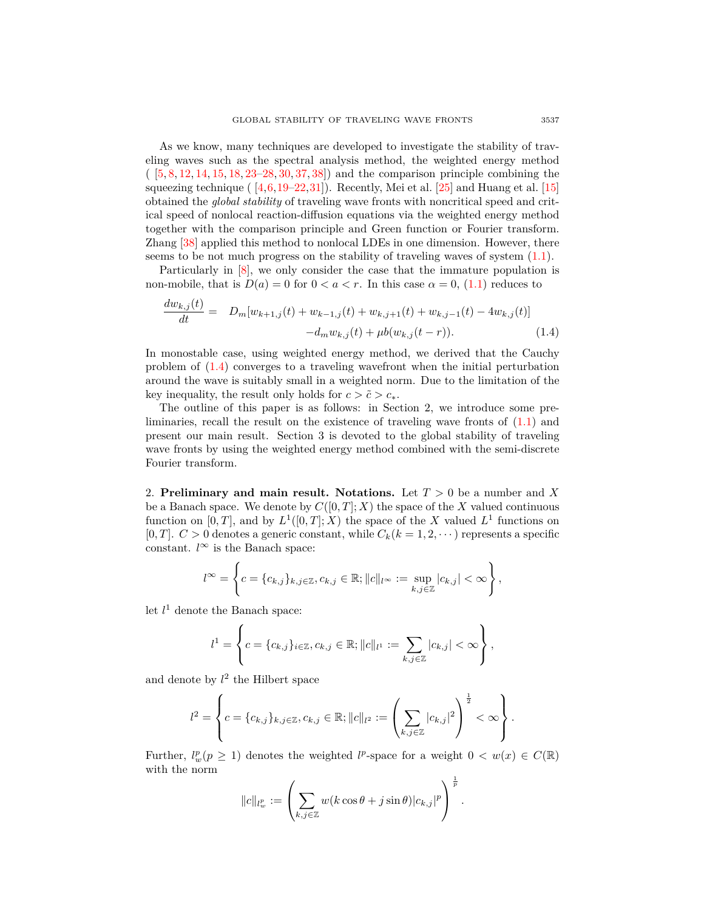As we know, many techniques are developed to investigate the stability of traveling waves such as the spectral analysis method, the weighted energy method ( [\[5](#page-14-13), [8,](#page-14-3) [12,](#page-14-14) [14](#page-14-1), [15,](#page-14-15) [18](#page-14-16), [23](#page-14-17)[–28](#page-15-5), [30,](#page-15-6) [37](#page-15-1), [38](#page-15-7)]) and the comparison principle combining the squeezing technique ( $\left[4,6,19-22,31\right]$  $\left[4,6,19-22,31\right]$  $\left[4,6,19-22,31\right]$  $\left[4,6,19-22,31\right]$  $\left[4,6,19-22,31\right]$  $\left[4,6,19-22,31\right]$ ). Recently, Mei et al.  $\left[25\right]$  and Huang et al.  $\left[15\right]$ obtained the *global stability* of traveling wave fronts with noncritical speed and critical speed of nonlocal reaction-diffusion equations via the weighted energy method together with the comparison principle and Green function or Fourier transform. Zhang [\[38](#page-15-7)] applied this method to nonlocal LDEs in one dimension. However, there seems to be not much progress on the stability of traveling waves of system ([1.1\)](#page-0-0).

Particularly in [[8\]](#page-14-3), we only consider the case that the immature population is non-mobile, that is  $D(a) = 0$  for  $0 < a < r$ . In this case  $\alpha = 0$ , [\(1.1\)](#page-0-0) reduces to

<span id="page-2-0"></span>
$$
\frac{dw_{k,j}(t)}{dt} = D_m[w_{k+1,j}(t) + w_{k-1,j}(t) + w_{k,j+1}(t) + w_{k,j-1}(t) - 4w_{k,j}(t)] -d_m w_{k,j}(t) + \mu b(w_{k,j}(t-r)).
$$
\n(1.4)

In monostable case, using weighted energy method, we derived that the Cauchy problem of [\(1.4](#page-2-0)) converges to a traveling wavefront when the initial perturbation around the wave is suitably small in a weighted norm. Due to the limitation of the key inequality, the result only holds for  $c > \tilde{c} > c_*$ .

The outline of this paper is as follows: in Section 2, we introduce some preliminaries, recall the result on the existence of traveling wave fronts of ([1.1\)](#page-0-0) and present our main result. Section 3 is devoted to the global stability of traveling wave fronts by using the weighted energy method combined with the semi-discrete Fourier transform.

2. **Preliminary and main result. Notations.** Let *T >* 0 be a number and *X* be a Banach space. We denote by  $C([0, T]; X)$  the space of the X valued continuous function on  $[0, T]$ , and by  $L^1([0, T]; X)$  the space of the *X* valued  $L^1$  functions on  $[0, T]$ .  $C > 0$  denotes a generic constant, while  $C_k (k = 1, 2, \dots)$  represents a specific constant.  $l^{\infty}$  is the Banach space:

$$
l^{\infty} = \left\{c = \{c_{k,j}\}_{k,j \in \mathbb{Z}}, c_{k,j} \in \mathbb{R}; ||c||_{l^{\infty}} := \sup_{k,j \in \mathbb{Z}} |c_{k,j}| < \infty\right\},\,
$$

let  $l^1$  denote the Banach space:

 $\overline{d}$  (*t*)

$$
l^{1} = \left\{ c = \{c_{k,j}\}_{i \in \mathbb{Z}}, c_{k,j} \in \mathbb{R}; ||c||_{l^{1}} := \sum_{k,j \in \mathbb{Z}} |c_{k,j}| < \infty \right\},\,
$$

and denote by  $l^2$  the Hilbert space

$$
l^{2} = \left\{ c = \{c_{k,j}\}_{k,j \in \mathbb{Z}}, c_{k,j} \in \mathbb{R}; ||c||_{l^{2}} := \left(\sum_{k,j \in \mathbb{Z}} |c_{k,j}|^{2}\right)^{\frac{1}{2}} < \infty\right\}.
$$

Further,  $l_w^p(p \ge 1)$  denotes the weighted  $l^p$ -space for a weight  $0 < w(x) \in C(\mathbb{R})$ with the norm 1

$$
||c||_{l^p_w} := \left(\sum_{k,j\in\mathbb{Z}} w(k\cos\theta + j\sin\theta)|c_{k,j}|^p\right)^{\overline{p}}.
$$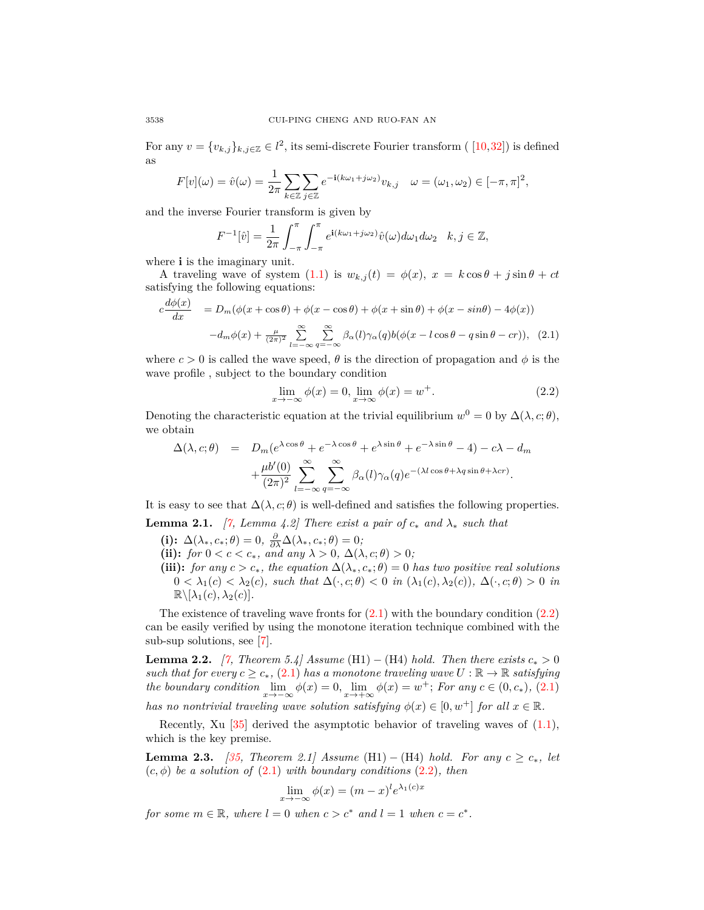For any  $v = \{v_{k,j}\}_{k,j \in \mathbb{Z}} \in l^2$ , its semi-discrete Fourier transform ( [\[10](#page-14-19),[32\]](#page-15-9)) is defined as

$$
F[v](\omega) = \hat{v}(\omega) = \frac{1}{2\pi} \sum_{k \in \mathbb{Z}} \sum_{j \in \mathbb{Z}} e^{-i(k\omega_1 + j\omega_2)} v_{k,j} \quad \omega = (\omega_1, \omega_2) \in [-\pi, \pi]^2,
$$

and the inverse Fourier transform is given by

$$
F^{-1}[\hat{v}] = \frac{1}{2\pi} \int_{-\pi}^{\pi} \int_{-\pi}^{\pi} e^{i(k\omega_1 + j\omega_2)} \hat{v}(\omega) d\omega_1 d\omega_2 \quad k, j \in \mathbb{Z},
$$

where **i** is the imaginary unit.

A traveling wave of system  $(1.1)$  $(1.1)$  is  $w_{k,j}(t) = \phi(x), x = k \cos \theta + j \sin \theta + ct$ satisfying the following equations:

<span id="page-3-0"></span>
$$
c\frac{d\phi(x)}{dx} = D_m(\phi(x + \cos\theta) + \phi(x - \cos\theta) + \phi(x + \sin\theta) + \phi(x - \sin\theta) - 4\phi(x))
$$

$$
-d_m\phi(x) + \frac{\mu}{(2\pi)^2} \sum_{l=-\infty}^{\infty} \sum_{q=-\infty}^{\infty} \beta_{\alpha}(l)\gamma_{\alpha}(q)b(\phi(x - l\cos\theta - q\sin\theta - cr)), \quad (2.1)
$$

where  $c > 0$  is called the wave speed,  $\theta$  is the direction of propagation and  $\phi$  is the wave profile , subject to the boundary condition

<span id="page-3-1"></span>
$$
\lim_{x \to -\infty} \phi(x) = 0, \lim_{x \to \infty} \phi(x) = w^+.
$$
\n(2.2)

Denoting the characteristic equation at the trivial equilibrium  $w^0 = 0$  by  $\Delta(\lambda, c; \theta)$ , we obtain

$$
\Delta(\lambda, c; \theta) = D_m(e^{\lambda \cos \theta} + e^{-\lambda \cos \theta} + e^{\lambda \sin \theta} + e^{-\lambda \sin \theta} - 4) - c\lambda - d_m
$$

$$
+ \frac{\mu b'(0)}{(2\pi)^2} \sum_{l=-\infty}^{\infty} \sum_{q=-\infty}^{\infty} \beta_{\alpha}(l) \gamma_{\alpha}(q) e^{-(\lambda l \cos \theta + \lambda q \sin \theta + \lambda cr)}.
$$

It is easy to see that  $\Delta(\lambda, c; \theta)$  is well-defined and satisfies the following properties.

<span id="page-3-2"></span>**Lemma 2.1.** *[* $\tilde{7}$ , *Lemma 4.2]* There exist a pair of  $c_*$  and  $\lambda_*$  such that

- **(i):**  $\Delta(\lambda_*, c_*; \theta) = 0, \ \frac{\partial}{\partial \lambda} \Delta(\lambda_*, c_*; \theta) = 0;$
- (ii): *for*  $0 < c < c_*$ *, and any*  $\lambda > 0$ *,*  $\Delta(\lambda, c; \theta) > 0$ *;*
- (iii): *for any*  $c > c_*$ *, the equation*  $\Delta(\lambda_*, c_*; \theta) = 0$  *has two positive real solutions*  $0 < \lambda_1(c) < \lambda_2(c)$ *, such that*  $\Delta(\cdot, c; \theta) < 0$  *in*  $(\lambda_1(c), \lambda_2(c))$ *,*  $\Delta(\cdot, c; \theta) > 0$  *in*  $\mathbb{R}\setminus[\lambda_1(c),\lambda_2(c)].$

The existence of traveling wave fronts for  $(2.1)$  with the boundary condition  $(2.2)$ can be easily verified by using the monotone iteration technique combined with the sub-sup solutions, see [[7\]](#page-14-2).

**Lemma 2.2.** *[[7](#page-14-2), Theorem 5.4] Assume* (H1) *−* (H4) *hold. Then there exists*  $c_*$  > 0 *such that for every*  $c \geq c_*$ , ([2.1](#page-3-0)) *has a monotone traveling wave*  $U : \mathbb{R} \to \mathbb{R}$  *satisfying the boundary condition*  $\lim_{x \to -\infty} \phi(x) = 0$ ,  $\lim_{x \to +\infty} \phi(x) = w^+$ ; *For any*  $c \in (0, c_*)$ , [\(2.1\)](#page-3-0) *has no nontrivial traveling wave solution satisfying*  $\phi(x) \in [0, w^+]$  *for all*  $x \in \mathbb{R}$ *.* 

Recently, Xu  $\left[35\right]$  derived the asymptotic behavior of traveling waves of  $(1.1)$  $(1.1)$ , which is the key premise.

**Lemma 2.3.** *[* $35$ *, Theorem 2.1] Assume* (H1) *−* (H4) *hold. For any*  $c \ge c_*$ *, let*  $(c, \phi)$  *be a solution of*  $(2.1)$  $(2.1)$  *with boundary conditions*  $(2.2)$  $(2.2)$  $(2.2)$ *, then* 

$$
\lim_{x \to -\infty} \phi(x) = (m - x)^l e^{\lambda_1(c)x}
$$

*for some*  $m \in \mathbb{R}$ *, where*  $l = 0$  *when*  $c > c^*$  *and*  $l = 1$  *when*  $c = c^*$ *.*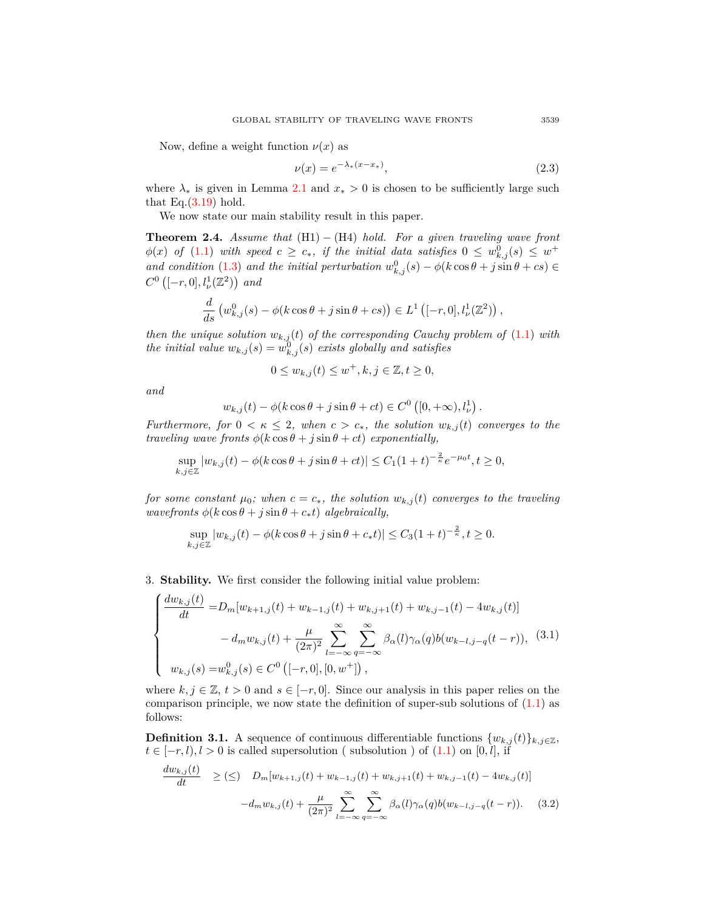Now, define a weight function  $\nu(x)$  as

$$
\nu(x) = e^{-\lambda_*(x - x_*)},\tag{2.3}
$$

*.*

where  $\lambda_*$  is given in Lemma [2.1](#page-3-2) and  $x_* > 0$  is chosen to be sufficiently large such that Eq. $(3.19)$  $(3.19)$  hold.

We now state our main stability result in this paper.

**Theorem 2.4.** *Assume that* (H1) *−* (H4) *hold. For a given traveling wave front*  $\phi(x)$  *of* [\(1.1](#page-0-0)) *with speed*  $c \geq c_*$ *, if the initial data satisfies*  $0 \leq w_{k,j}^0(s) \leq w^+$ *and condition* ([1.3](#page-1-1)) *and the initial perturbation*  $w_{k,j}^0(s) - \phi(k \cos \theta + j \sin \theta + cs) \in$  $C^0$  ([-*r*, 0],  $l^1_{\nu}(\mathbb{Z}^2)$ ) and

$$
\frac{d}{ds} \left( w_{k,j}^0(s) - \phi(k \cos \theta + j \sin \theta + cs) \right) \in L^1 \left( [-r, 0], l_\nu^1(\mathbb{Z}^2) \right),
$$

*then the unique solution*  $w_{k,j}(t)$  *of the corresponding Cauchy problem of* [\(1.1](#page-0-0)) *with the initial value*  $w_{k,j}(s) = w_{k,j}^0(s)$  *exists globally and satisfies* 

$$
0 \le w_{k,j}(t) \le w^+, k, j \in \mathbb{Z}, t \ge 0,
$$

*and*

$$
w_{k,j}(t) - \phi(k\cos\theta + j\sin\theta + ct) \in C^{0}([0, +\infty), l_{\nu}^{1})
$$

*Furthermore, for*  $0 < \kappa \leq 2$ *, when*  $c > c_*$ *, the solution*  $w_{k,j}(t)$  *converges to the traveling wave fronts*  $\phi(k \cos \theta + j \sin \theta + ct)$  *exponentially,* 

$$
\sup_{k,j\in\mathbb{Z}}|w_{k,j}(t)-\phi(k\cos\theta+j\sin\theta+ct)|\leq C_1(1+t)^{-\frac{2}{\kappa}}e^{-\mu_0 t},t\geq 0,
$$

*for some constant*  $\mu_0$ *; when*  $c = c_*$ *, the solution*  $w_{k,j}(t)$  *converges to the traveling*  $wavefronts \phi(k \cos \theta + j \sin \theta + c_*t) \ algebraically,$ 

$$
\sup_{k,j\in\mathbb{Z}}|w_{k,j}(t) - \phi(k\cos\theta + j\sin\theta + c_*t)| \leq C_3(1+t)^{-\frac{2}{\kappa}}, t \geq 0.
$$

3. **Stability.** We first consider the following initial value problem:

<span id="page-4-0"></span>
$$
\begin{cases}\n\frac{dw_{k,j}(t)}{dt} = D_m[w_{k+1,j}(t) + w_{k-1,j}(t) + w_{k,j+1}(t) + w_{k,j-1}(t) - 4w_{k,j}(t)] \\
- d_m w_{k,j}(t) + \frac{\mu}{(2\pi)^2} \sum_{l=-\infty}^{\infty} \sum_{q=-\infty}^{\infty} \beta_{\alpha}(l) \gamma_{\alpha}(q) b(w_{k-l,j-q}(t-r)), \quad (3.1) \\
w_{k,j}(s) = w_{k,j}^0(s) \in C^0 \left( [-r, 0], [0, w^+] \right),\n\end{cases}
$$

where  $k, j \in \mathbb{Z}, t > 0$  and  $s \in [-r, 0]$ . Since our analysis in this paper relies on the comparison principle, we now state the definition of super-sub solutions of  $(1.1)$  $(1.1)$  as follows:

**Definition 3.1.** A sequence of continuous differentiable functions  $\{w_{k,j}(t)\}_{k,j\in\mathbb{Z}}$ ,  $t \in [-r, l), l > 0$  is called supersolution ( subsolution ) of  $(1.1)$  on  $[0, l]$ , if

$$
\frac{dw_{k,j}(t)}{dt} \geq (\leq) \quad D_m[w_{k+1,j}(t) + w_{k-1,j}(t) + w_{k,j+1}(t) + w_{k,j-1}(t) - 4w_{k,j}(t)]
$$

$$
-d_m w_{k,j}(t) + \frac{\mu}{(2\pi)^2} \sum_{l=-\infty}^{\infty} \sum_{q=-\infty}^{\infty} \beta_{\alpha}(l) \gamma_{\alpha}(q) b(w_{k-l,j-q}(t-r)). \quad (3.2)
$$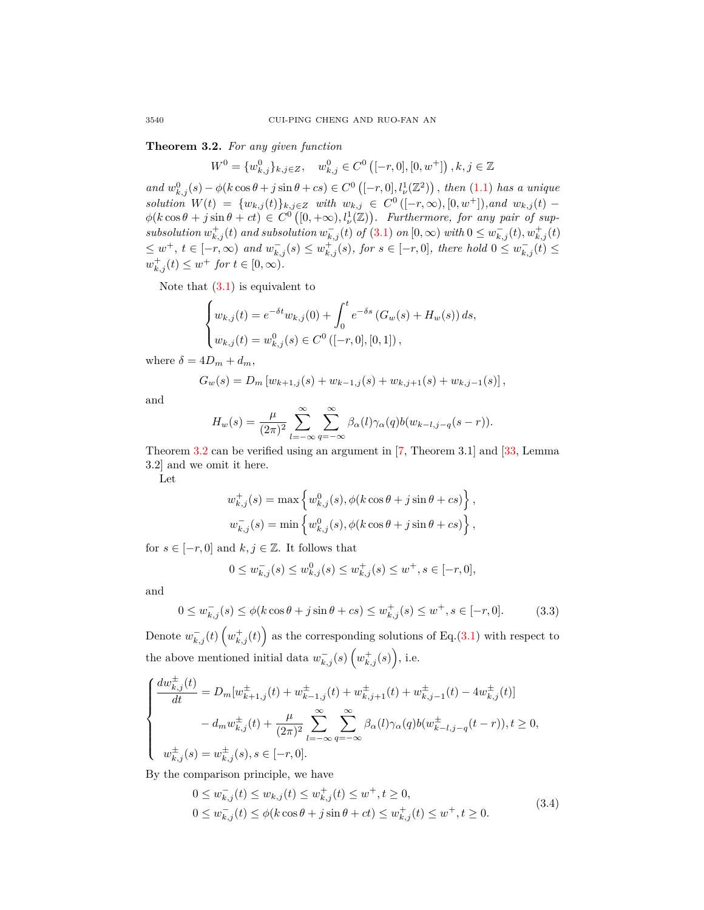<span id="page-5-0"></span>**Theorem 3.2.** *For any given function*

 $W^0 = \{w_{k,j}^0\}_{k,j \in \mathbb{Z}}, \quad w_{k,j}^0 \in C^0 \left( [-r,0], [0,w^+] \right), k, j \in \mathbb{Z}$ 

and  $w_{k,j}^0(s) - \phi(k \cos \theta + j \sin \theta + cs) \in C^0 \left( [-r, 0], l_{\nu}^1(\mathbb{Z}^2) \right)$ , then [\(1.1\)](#page-0-0) has a unique solution  $W(t) = \{w_{k,j}(t)\}_{k,j\in\mathbb{Z}}$  with  $w_{k,j} \in C^0([-r,\infty),[0,w^+])$ , and  $w_{k,j}(t)$  $\phi(k \cos \theta + j \sin \theta + ct) \in C^0([0, +\infty), l^1_{\nu}(\mathbb{Z}))$ . Furthermore, for any pair of supsubsolution  $w_{k,j}^+(t)$  and subsolution  $w_{k,j}^-(t)$  of  $(3.1)$  $(3.1)$  on  $[0,\infty)$  with  $0 \leq w_{k,j}^-(t), w_{k,j}^+(t)$  $\leq w^+, t \in [-r, \infty)$  and  $w_{k,j}^-(s) \leq w_{k,j}^+(s)$ , for  $s \in [-r, 0]$ , there hold  $0 \leq w_{k,j}^-(t) \leq$  $w_{k,j}^+(t) \leq w^+$  *for*  $t \in [0, \infty)$ *.* 

Note that  $(3.1)$  is equivalent to

$$
\begin{cases} w_{k,j}(t) = e^{-\delta t} w_{k,j}(0) + \int_0^t e^{-\delta s} (G_w(s) + H_w(s)) ds, \\ w_{k,j}(t) = w_{k,j}^0(s) \in C^0 \left( [-r, 0], [0, 1] \right), \end{cases}
$$

where  $\delta = 4D_m + d_m$ ,

$$
G_w(s) = D_m \left[ w_{k+1,j}(s) + w_{k-1,j}(s) + w_{k,j+1}(s) + w_{k,j-1}(s) \right],
$$

and

$$
H_w(s) = \frac{\mu}{(2\pi)^2} \sum_{l=-\infty}^{\infty} \sum_{q=-\infty}^{\infty} \beta_{\alpha}(l) \gamma_{\alpha}(q) b(w_{k-l,j-q}(s-r)).
$$

Theorem [3.2](#page-5-0) can be verified using an argument in [\[7](#page-14-2), Theorem 3.1] and [[33,](#page-15-10) Lemma 3.2] and we omit it here.

Let

$$
w_{k,j}^+(s) = \max \left\{ w_{k,j}^0(s), \phi(k \cos \theta + j \sin \theta + cs) \right\},
$$
  

$$
w_{k,j}^-(s) = \min \left\{ w_{k,j}^0(s), \phi(k \cos \theta + j \sin \theta + cs) \right\},
$$

for  $s \in [-r, 0]$  and  $k, j \in \mathbb{Z}$ . It follows that

$$
0 \le w_{k,j}^-(s) \le w_{k,j}^0(s) \le w_{k,j}^+(s) \le w^+, s \in [-r, 0],
$$

and

<span id="page-5-1"></span>
$$
0 \le w_{k,j}^-(s) \le \phi(k\cos\theta + j\sin\theta + cs) \le w_{k,j}^+(s) \le w^+, s \in [-r, 0].\tag{3.3}
$$

Denote  $w_{k,j}^{-}(t)$   $\left(w_{k,j}^{+}(t)\right)$  as the corresponding solutions of Eq.[\(3.1](#page-4-0)) with respect to the above mentioned initial data  $w_{k,j}^-(s)$   $\left(w_{k,j}^+(s)\right)$ , i.e.

<span id="page-5-2"></span>
$$
\begin{cases} \frac{dw_{k,j}^{\pm}(t)}{dt} = D_m[w_{k+1,j}^{\pm}(t) + w_{k-1,j}^{\pm}(t) + w_{k,j+1}^{\pm}(t) + w_{k,j-1}^{\pm}(t) - 4w_{k,j}^{\pm}(t)] \\ - d_m w_{k,j}^{\pm}(t) + \frac{\mu}{(2\pi)^2} \sum_{l=-\infty}^{\infty} \sum_{q=-\infty}^{\infty} \beta_{\alpha}(l) \gamma_{\alpha}(q) b(w_{k-l,j-q}^{\pm}(t-r)), t \ge 0, \\ w_{k,j}^{\pm}(s) = w_{k,j}^{\pm}(s), s \in [-r, 0]. \end{cases}
$$

By the comparison principle, we have

$$
0 \le w_{k,j}^-(t) \le w_{k,j}(t) \le w_{k,j}^+(t) \le w^+, t \ge 0,
$$
  
\n
$$
0 \le w_{k,j}^-(t) \le \phi(k \cos \theta + j \sin \theta + ct) \le w_{k,j}^+(t) \le w^+, t \ge 0.
$$
\n(3.4)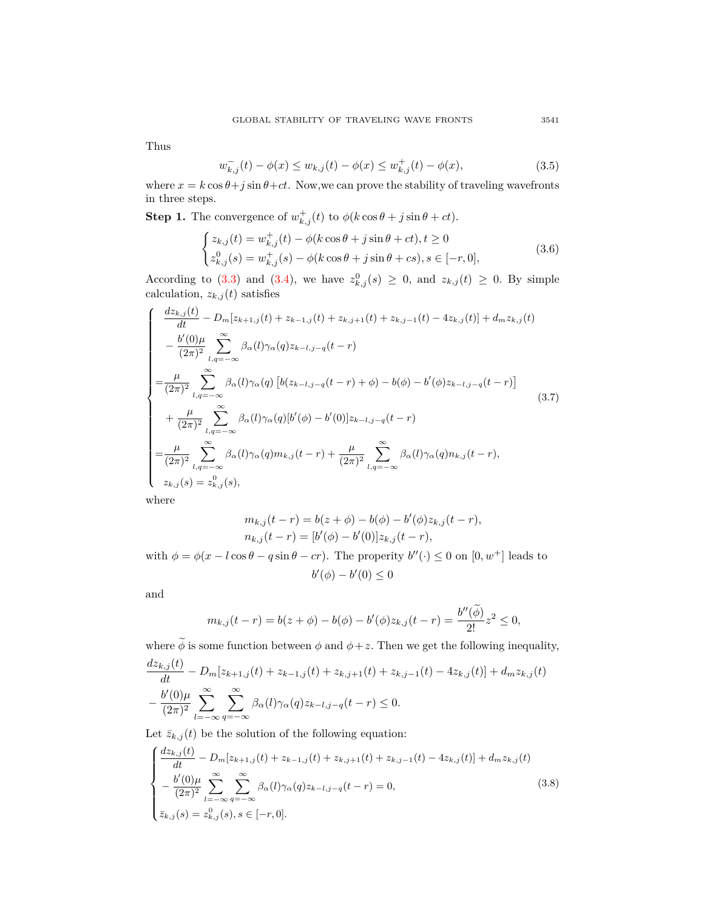Thus

$$
w_{k,j}^-(t) - \phi(x) \le w_{k,j}(t) - \phi(x) \le w_{k,j}^+(t) - \phi(x),\tag{3.5}
$$

where  $x = k \cos \theta + j \sin \theta + ct$ . Now, we can prove the stability of traveling wavefronts in three steps.

**Step 1.** The convergence of  $w_{k,j}^+(t)$  to  $\phi(k\cos\theta + j\sin\theta + ct)$ .

$$
\begin{cases} z_{k,j}(t) = w_{k,j}^+(t) - \phi(k\cos\theta + j\sin\theta + ct), t \ge 0\\ z_{k,j}^0(s) = w_{k,j}^+(s) - \phi(k\cos\theta + j\sin\theta + cs), s \in [-r, 0], \end{cases}
$$
(3.6)

According to ([3.3\)](#page-5-1) and ([3.4\)](#page-5-2), we have  $z_{k,j}^0(s) \geq 0$ , and  $z_{k,j}(t) \geq 0$ . By simple calculation,  $z_{k,j}(t)$  satisfies

$$
\begin{cases}\n\frac{dz_{k,j}(t)}{dt} - D_m[z_{k+1,j}(t) + z_{k-1,j}(t) + z_{k,j+1}(t) + z_{k,j-1}(t) - 4z_{k,j}(t)] + d_m z_{k,j}(t) \\
-\frac{b'(0)\mu}{(2\pi)^2} \sum_{l,q=-\infty}^{\infty} \beta_{\alpha}(l)\gamma_{\alpha}(q)z_{k-l,j-q}(t-r) \\
=\frac{\mu}{(2\pi)^2} \sum_{l,q=-\infty}^{\infty} \beta_{\alpha}(l)\gamma_{\alpha}(q) \left[ b(z_{k-l,j-q}(t-r) + \phi) - b(\phi) - b'(\phi)z_{k-l,j-q}(t-r) \right] \\
+\frac{\mu}{(2\pi)^2} \sum_{l,q=-\infty}^{\infty} \beta_{\alpha}(l)\gamma_{\alpha}(q)[b'(\phi) - b'(0)]z_{k-l,j-q}(t-r) \\
=\frac{\mu}{(2\pi)^2} \sum_{l,q=-\infty}^{\infty} \beta_{\alpha}(l)\gamma_{\alpha}(q)m_{k,j}(t-r) + \frac{\mu}{(2\pi)^2} \sum_{l,q=-\infty}^{\infty} \beta_{\alpha}(l)\gamma_{\alpha}(q)m_{k,j}(t-r), \\
z_{k,j}(s) = z_{k,j}^0(s),\n\end{cases} (3.7)
$$

where

$$
m_{k,j}(t-r) = b(z + \phi) - b(\phi) - b'(\phi)z_{k,j}(t-r),
$$
  
\n
$$
n_{k,j}(t-r) = [b'(\phi) - b'(0)]z_{k,j}(t-r),
$$

with  $\phi = \phi(x - l\cos\theta - q\sin\theta - cr)$ . The properity  $b''(\cdot) \leq 0$  on  $[0, w^+]$  leads to *b*<sup> $'$ </sup>( $\phi$ ) − *b*<sup> $'$ </sup>(0) ≤ 0

and

$$
m_{k,j}(t-r) = b(z+\phi) - b(\phi) - b'(\phi)z_{k,j}(t-r) = \frac{b''(\widetilde{\phi})}{2!}z^2 \le 0,
$$

where  $\widetilde{\phi}$  is some function between  $\phi$  and  $\phi + z$ . Then we get the following inequality,  $dz_i$ ,  $\phi(t)$ 

$$
\frac{dz_{k,j}(t)}{dt} - D_m[z_{k+1,j}(t) + z_{k-1,j}(t) + z_{k,j+1}(t) + z_{k,j-1}(t) - 4z_{k,j}(t)] + d_m z_{k,j}(t) - \frac{b'(0)\mu}{(2\pi)^2} \sum_{l=-\infty}^{\infty} \sum_{q=-\infty}^{\infty} \beta_{\alpha}(l)\gamma_{\alpha}(q)z_{k-l,j-q}(t-r) \le 0.
$$

Let  $\bar{z}_{k,j}(t)$  be the solution of the following equation:

$$
\begin{cases}\n\frac{dz_{k,j}(t)}{dt} - D_m[z_{k+1,j}(t) + z_{k-1,j}(t) + z_{k,j+1}(t) + z_{k,j-1}(t) - 4z_{k,j}(t)] + d_m z_{k,j}(t) \\
-\frac{b'(0)\mu}{(2\pi)^2} \sum_{l=-\infty}^{\infty} \sum_{q=-\infty}^{\infty} \beta_{\alpha}(l)\gamma_{\alpha}(q)z_{k-l,j-q}(t-r) = 0, \\
\bar{z}_{k,j}(s) = z_{k,j}^0(s), s \in [-r, 0].\n\end{cases}
$$
\n(3.8)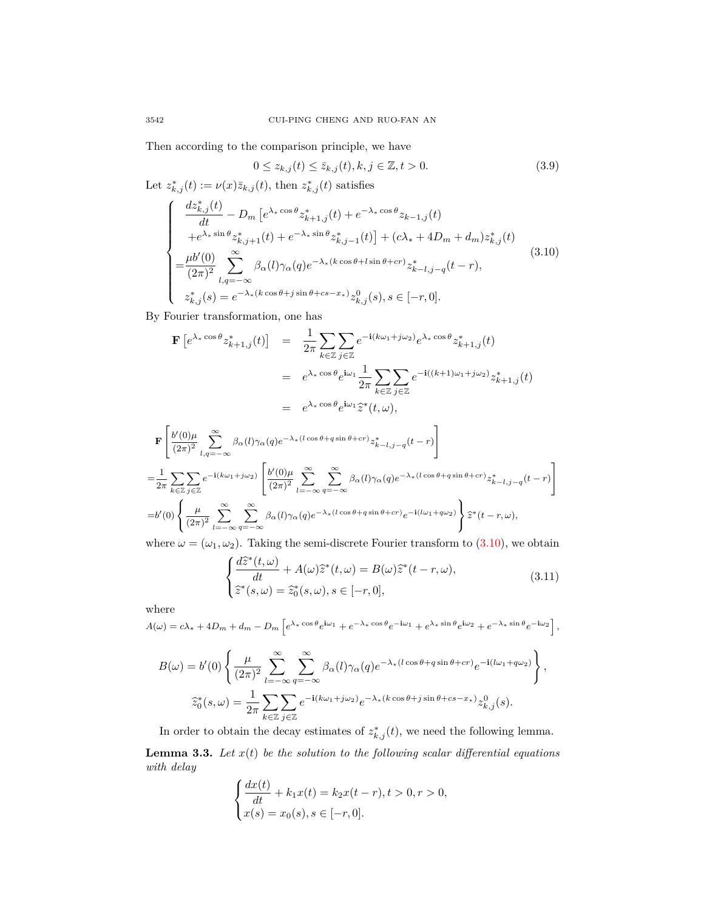Then according to the comparison principle, we have

<span id="page-7-3"></span>
$$
0 \le z_{k,j}(t) \le \bar{z}_{k,j}(t), k, j \in \mathbb{Z}, t > 0.
$$
\n(3.9)

<span id="page-7-0"></span>Let  $z_{k,j}^*(t) := \nu(x)\overline{z}_{k,j}(t)$ , then  $z_{k,j}^*(t)$  satisfies  $\sqrt{ }$  $\begin{array}{c} \end{array}$  $\begin{array}{c} \end{array}$  $dz^*_{k,j}(t)$  $\frac{d}{dt}$  *dt*  $D_m$   $\left[e^{\lambda_* \cos \theta} z_{k+1,j}^*(t) + e^{-\lambda_* \cos \theta} z_{k-1,j}(t)\right]$  $+e^{\lambda_* \sin \theta} z_{k,j+1}^*(t) + e^{-\lambda_* \sin \theta} z_{k,j-1}^*(t) + (c\lambda_* + 4D_m + d_m)z_{k,j}^*(t)$  $=\frac{\mu b'(0)}{(2a)^2}$  $\frac{\mu b'(0)}{(2\pi)^2}$ <sub>2</sub> *l,q*=*−∞*  $\beta_{\alpha}(l)\gamma_{\alpha}(q)e^{-\lambda_{*}(k\cos\theta + l\sin\theta + cr)}z_{k-l,j-q}^{*}(t-r),$  $z_{k,j}^*(s) = e^{-\lambda_*(k \cos \theta + j \sin \theta + cs - x_*)} z_{k,j}^0(s), s \in [-r, 0].$ (3.10)

By Fourier transformation, one has

$$
\mathbf{F}\left[e^{\lambda_* \cos \theta} z_{k+1,j}^*(t)\right] = \frac{1}{2\pi} \sum_{k \in \mathbb{Z}} \sum_{j \in \mathbb{Z}} e^{-i(k\omega_1 + j\omega_2)} e^{\lambda_* \cos \theta} z_{k+1,j}^*(t)
$$
  
\n
$$
= e^{\lambda_* \cos \theta} e^{i\omega_1} \frac{1}{2\pi} \sum_{k \in \mathbb{Z}} \sum_{j \in \mathbb{Z}} e^{-i((k+1)\omega_1 + j\omega_2)} z_{k+1,j}^*(t)
$$
  
\n
$$
= e^{\lambda_* \cos \theta} e^{i\omega_1} \hat{z}^*(t, \omega),
$$

$$
\begin{split} &\mathbf{F}\left[\frac{b'(0)\mu}{(2\pi)^2}\sum_{l,q=-\infty}^{\infty}\beta_{\alpha}(l)\gamma_{\alpha}(q)e^{-\lambda_{*}(l\cos\theta+q\sin\theta+cr)}z_{k-l,j-q}^{*}(t-r)\right]\\ =&\frac{1}{2\pi}\sum_{k\in\mathbb{Z}}\sum_{j\in\mathbb{Z}}e^{-\mathbf{i}(k\omega_{1}+j\omega_{2})}\left[\frac{b'(0)\mu}{(2\pi)^2}\sum_{l=-\infty}^{\infty}\sum_{q=-\infty}^{\infty}\beta_{\alpha}(l)\gamma_{\alpha}(q)e^{-\lambda_{*}(l\cos\theta+q\sin\theta+cr)}z_{k-l,j-q}^{*}(t-r)\right]\\ =&b'(0)\left\{\frac{\mu}{(2\pi)^2}\sum_{l=-\infty}^{\infty}\sum_{q=-\infty}^{\infty}\beta_{\alpha}(l)\gamma_{\alpha}(q)e^{-\lambda_{*}(l\cos\theta+q\sin\theta+cr)}e^{-\mathbf{i}(l\omega_{1}+q\omega_{2})}\right\}\hat{z}^{*}(t-r,\omega), \end{split}
$$

where  $\omega = (\omega_1, \omega_2)$ . Taking the semi-discrete Fourier transform to ([3.10](#page-7-0)), we obtain

<span id="page-7-2"></span>
$$
\begin{cases}\n\frac{d\widehat{z}^*(t,\omega)}{dt} + A(\omega)\widehat{z}^*(t,\omega) = B(\omega)\widehat{z}^*(t-r,\omega),\\ \n\widehat{z}^*(s,\omega) = \widehat{z}_0^*(s,\omega), s \in [-r,0],\n\end{cases}
$$
\n(3.11)

where

$$
A(\omega) = c\lambda_{*} + 4D_{m} + d_{m} - D_{m} \left[ e^{\lambda_{*} \cos \theta} e^{i\omega_{1}} + e^{-\lambda_{*} \cos \theta} e^{-i\omega_{1}} + e^{\lambda_{*} \sin \theta} e^{i\omega_{2}} + e^{-\lambda_{*} \sin \theta} e^{-i\omega_{2}} \right],
$$
  
\n
$$
B(\omega) = b'(0) \left\{ \frac{\mu}{(2\pi)^{2}} \sum_{l=-\infty}^{\infty} \sum_{q=-\infty}^{\infty} \beta_{\alpha}(l) \gamma_{\alpha}(q) e^{-\lambda_{*}(l \cos \theta + q \sin \theta + cr)} e^{-i(l\omega_{1} + q\omega_{2})} \right\},
$$
  
\n
$$
\hat{z}_{0}^{*}(s, \omega) = \frac{1}{2\pi} \sum_{k \in \mathbb{Z}} \sum_{j \in \mathbb{Z}} e^{-i(k\omega_{1} + j\omega_{2})} e^{-\lambda_{*}(k \cos \theta + j \sin \theta + cs - x_{*})} z_{k,j}^{0}(s).
$$

<span id="page-7-1"></span>In order to obtain the decay estimates of  $z_{k,j}^*(t)$ , we need the following lemma. **Lemma 3.3.** Let  $x(t)$  be the solution to the following scalar differential equations *with delay*

$$
\begin{cases} \frac{dx(t)}{dt} + k_1 x(t) = k_2 x(t-r), t > 0, r > 0, \\ x(s) = x_0(s), s \in [-r, 0]. \end{cases}
$$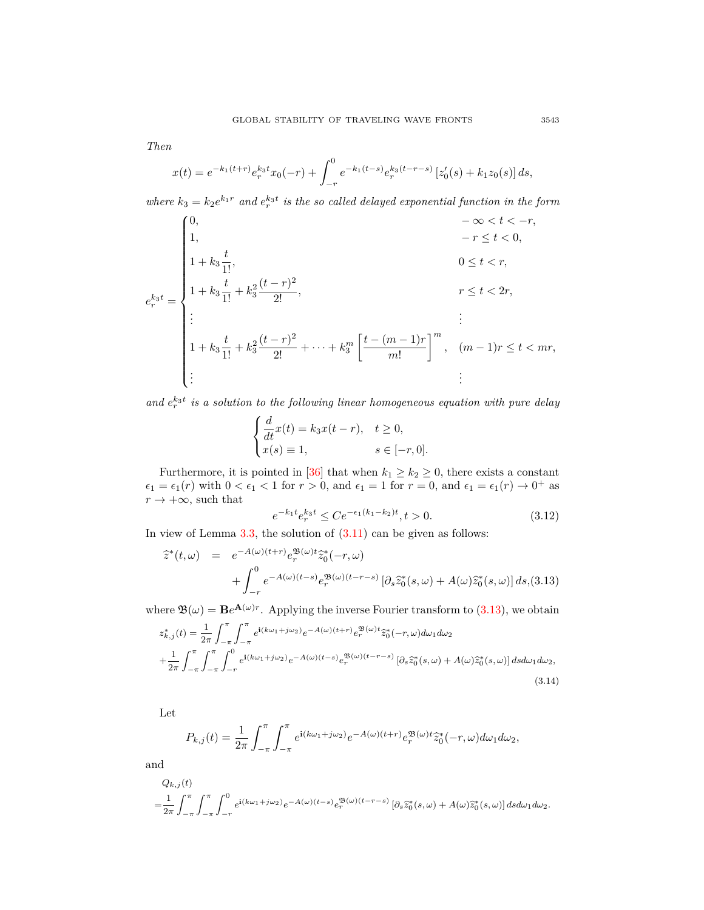*Then*

$$
x(t) = e^{-k_1(t+r)} e_r^{k_3 t} x_0(-r) + \int_{-r}^0 e^{-k_1(t-s)} e_r^{k_3(t-r-s)} \left[ z'_0(s) + k_1 z_0(s) \right] ds,
$$

*where*  $k_3 = k_2 e^{k_1 r}$  *and*  $e^{k_3 t}$  *is the so called delayed exponential function in the form* 

$$
e_r^{k_3 t} = \begin{cases} 0, & -\infty < t < -r, \\ 1, & -r \le t < 0, \\ 1 + k_3 \frac{t}{1!}, & 0 \le t < r, \\ 1 + k_3 \frac{t}{1!} + k_3^2 \frac{(t-r)^2}{2!}, & r \le t < 2r, \\ \vdots & & \vdots \\ 1 + k_3 \frac{t}{1!} + k_3^2 \frac{(t-r)^2}{2!} + \dots + k_3^m \left[ \frac{t - (m-1)r}{m!} \right]^m, & (m-1)r \le t < mr, \\ \vdots & & \vdots \end{cases}
$$

and  $e_r^{k_3t}$  is a solution to the following linear homogeneous equation with pure delay

$$
\begin{cases}\n\frac{d}{dt}x(t) = k_3x(t-r), & t \ge 0, \\
x(s) \equiv 1, & s \in [-r, 0].\n\end{cases}
$$

Furthermore, it is pointed in [[36\]](#page-15-11) that when  $k_1 \geq k_2 \geq 0$ , there exists a constant  $\epsilon_1 = \epsilon_1(r)$  with  $0 < \epsilon_1 < 1$  for  $r > 0$ , and  $\epsilon_1 = 1$  for  $r = 0$ , and  $\epsilon_1 = \epsilon_1(r) \rightarrow 0^+$  as  $r \rightarrow +\infty$ , such that

<span id="page-8-1"></span>
$$
e^{-k_1 t} e_r^{k_3 t} \le C e^{-\epsilon_1 (k_1 - k_2)t}, t > 0.
$$
\n(3.12)

In view of Lemma  $3.3$ , the solution of  $(3.11)$  $(3.11)$  can be given as follows:

<span id="page-8-0"></span>
$$
\hat{z}^*(t,\omega) = e^{-A(\omega)(t+r)} e_r^{\mathfrak{B}(\omega)t} \hat{z}_0^*(-r,\omega) \n+ \int_{-r}^0 e^{-A(\omega)(t-s)} e_r^{\mathfrak{B}(\omega)(t-r-s)} \left[ \partial_s \hat{z}_0^*(s,\omega) + A(\omega) \hat{z}_0^*(s,\omega) \right] ds, (3.13)
$$

where  $\mathfrak{B}(\omega) = \mathbf{B}e^{\mathbf{A}(\omega)r}$ . Applying the inverse Fourier transform to [\(3.13\)](#page-8-0), we obtain

$$
z_{k,j}^*(t) = \frac{1}{2\pi} \int_{-\pi}^{\pi} \int_{-\pi}^{\pi} e^{i(k\omega_1 + j\omega_2)} e^{-A(\omega)(t+r)} e_r^{\mathfrak{B}(\omega)t} \tilde{z}_0^*(-r, \omega) d\omega_1 d\omega_2
$$
  
+ 
$$
\frac{1}{2\pi} \int_{-\pi}^{\pi} \int_{-\pi}^{\pi} \int_{-r}^0 e^{i(k\omega_1 + j\omega_2)} e^{-A(\omega)(t-s)} e_r^{\mathfrak{B}(\omega)(t-r-s)} \left[\partial_s \tilde{z}_0^*(s, \omega) + A(\omega) \tilde{z}_0^*(s, \omega)\right] ds d\omega_1 d\omega_2,
$$
(3.14)

Let

$$
P_{k,j}(t) = \frac{1}{2\pi} \int_{-\pi}^{\pi} \int_{-\pi}^{\pi} e^{i(k\omega_1 + j\omega_2)} e^{-A(\omega)(t+r)} e_r^{\mathfrak{B}(\omega)t} \widehat{z}_0^*(-r, \omega) d\omega_1 d\omega_2,
$$

and

$$
Q_{k,j}(t)
$$
  
=  $\frac{1}{2\pi} \int_{-\pi}^{\pi} \int_{-\pi}^{0} e^{i(k\omega_1 + j\omega_2)} e^{-A(\omega)(t-s)} e^{\mathfrak{B}(\omega)(t-r-s)} [\partial_s \tilde{z}_0^*(s,\omega) + A(\omega)\tilde{z}_0^*(s,\omega)] ds d\omega_1 d\omega_2.$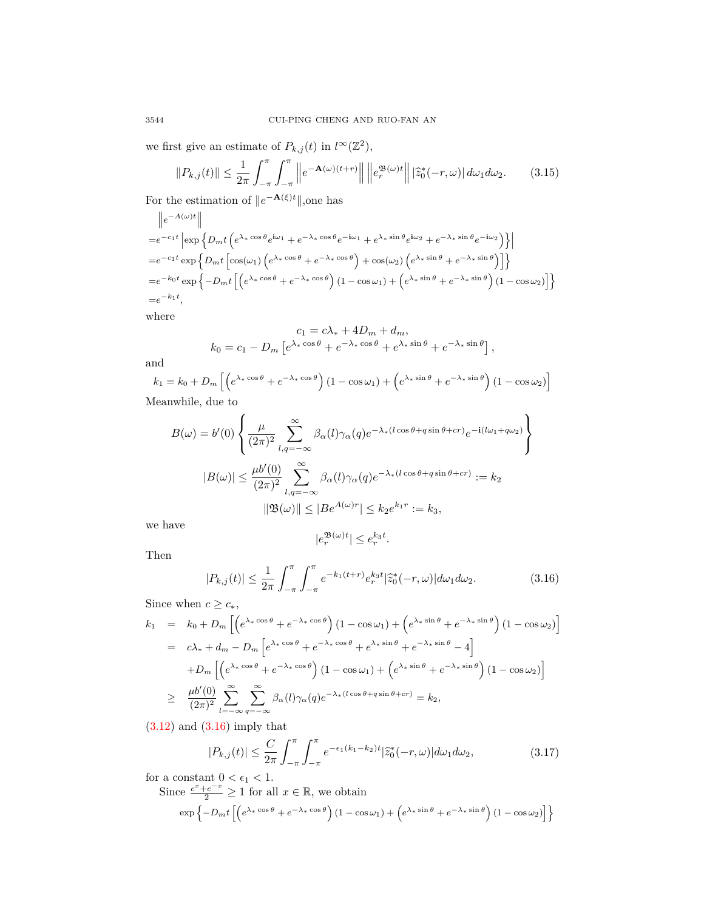we first give an estimate of  $P_{k,j}(t)$  in  $l^{\infty}(\mathbb{Z}^2)$ ,

$$
||P_{k,j}(t)|| \leq \frac{1}{2\pi} \int_{-\pi}^{\pi} \int_{-\pi}^{\pi} \left\| e^{-\mathbf{A}(\omega)(t+r)} \right\| \left\| e_r^{\mathfrak{B}(\omega)t} \right\| |\hat{z}_0^*(-r,\omega)| d\omega_1 d\omega_2.
$$
 (3.15)

For the estimation of *∥e <sup>−</sup>***A**(*ξ*)*t∥*,one has

$$
\|e^{-A(\omega)t}\|
$$
\n
$$
= e^{-c_1t} \left| \exp \left\{ D_m t \left( e^{\lambda_* \cos \theta} e^{i\omega_1} + e^{-\lambda_* \cos \theta} e^{-i\omega_1} + e^{\lambda_* \sin \theta} e^{i\omega_2} + e^{-\lambda_* \sin \theta} e^{-i\omega_2} \right) \right\} \right|
$$
\n
$$
= e^{-c_1t} \exp \left\{ D_m t \left[ \cos(\omega_1) \left( e^{\lambda_* \cos \theta} + e^{-\lambda_* \cos \theta} \right) + \cos(\omega_2) \left( e^{\lambda_* \sin \theta} + e^{-\lambda_* \sin \theta} \right) \right] \right\}
$$
\n
$$
= e^{-k_0t} \exp \left\{ -D_m t \left[ \left( e^{\lambda_* \cos \theta} + e^{-\lambda_* \cos \theta} \right) (1 - \cos \omega_1) + \left( e^{\lambda_* \sin \theta} + e^{-\lambda_* \sin \theta} \right) (1 - \cos \omega_2) \right] \right\}
$$
\n
$$
= e^{-k_1 t},
$$

where

$$
c_1 = c\lambda_* + 4D_m + d_m,
$$
  
\n
$$
k_0 = c_1 - D_m \left[ e^{\lambda_* \cos \theta} + e^{-\lambda_* \cos \theta} + e^{\lambda_* \sin \theta} + e^{-\lambda_* \sin \theta} \right],
$$

and

 $k_1 = k_0 + D_m \left[ \left( e^{\lambda_* \cos \theta} + e^{-\lambda_* \cos \theta} \right) (1 - \cos \omega_1) + \left( e^{\lambda_* \sin \theta} + e^{-\lambda_* \sin \theta} \right) (1 - \cos \omega_2) \right]$ Meanwhile, due to

$$
B(\omega) = b'(0) \left\{ \frac{\mu}{(2\pi)^2} \sum_{l,q=-\infty}^{\infty} \beta_{\alpha}(l) \gamma_{\alpha}(q) e^{-\lambda_{*}(l\cos\theta + q\sin\theta + cr)} e^{-i(l\omega_{1} + q\omega_{2})} \right\}
$$

$$
|B(\omega)| \leq \frac{\mu b'(0)}{(2\pi)^2} \sum_{l,q=-\infty}^{\infty} \beta_{\alpha}(l) \gamma_{\alpha}(q) e^{-\lambda_{*}(l\cos\theta + q\sin\theta + cr)} := k_{2}
$$

$$
||\mathfrak{B}(\omega)|| \leq |Be^{A(\omega)r}| \leq k_{2} e^{k_{1}r} := k_{3},
$$

we have

$$
|e^{\mathfrak{B}(\omega)t}_r|\leq e^{{k_3}t}_r.
$$

Then

<span id="page-9-0"></span>
$$
|P_{k,j}(t)| \le \frac{1}{2\pi} \int_{-\pi}^{\pi} \int_{-\pi}^{\pi} e^{-k_1(t+r)} e_r^{k_3 t} |\hat{z}_0^*(-r,\omega)| d\omega_1 d\omega_2.
$$
 (3.16)

Since when  $c \geq c_*$ ,

$$
k_1 = k_0 + D_m \left[ \left( e^{\lambda_* \cos \theta} + e^{-\lambda_* \cos \theta} \right) (1 - \cos \omega_1) + \left( e^{\lambda_* \sin \theta} + e^{-\lambda_* \sin \theta} \right) (1 - \cos \omega_2) \right]
$$
  
\n
$$
= c\lambda_* + d_m - D_m \left[ e^{\lambda_* \cos \theta} + e^{-\lambda_* \cos \theta} + e^{\lambda_* \sin \theta} + e^{-\lambda_* \sin \theta} - 4 \right]
$$
  
\n
$$
+ D_m \left[ \left( e^{\lambda_* \cos \theta} + e^{-\lambda_* \cos \theta} \right) (1 - \cos \omega_1) + \left( e^{\lambda_* \sin \theta} + e^{-\lambda_* \sin \theta} \right) (1 - \cos \omega_2) \right]
$$
  
\n
$$
\geq \frac{\mu b'(0)}{(2\pi)^2} \sum_{l=-\infty}^{\infty} \sum_{q=-\infty}^{\infty} \beta_{\alpha}(l) \gamma_{\alpha}(q) e^{-\lambda_* (l \cos \theta + q \sin \theta + cr)} = k_2,
$$
  
\n(2.19) and (2.16) imply that

 $(3.12)$  $(3.12)$  $(3.12)$  and  $(3.16)$  $(3.16)$  $(3.16)$  imply that

$$
|P_{k,j}(t)| \le \frac{C}{2\pi} \int_{-\pi}^{\pi} \int_{-\pi}^{\pi} e^{-\epsilon_1(k_1 - k_2)t} |\hat{z}_0^*(-r, \omega)| d\omega_1 d\omega_2, \tag{3.17}
$$

for a constant  $0 < \epsilon_1 < 1$ .

Since  $\frac{e^x + e^{-x}}{2} \ge 1$  for all  $x \in \mathbb{R}$ , we obtain

$$
\exp\left\{-D_m t \left[\left(e^{\lambda_\ast \cos \theta} + e^{-\lambda_\ast \cos \theta}\right)\left(1 - \cos \omega_1\right) + \left(e^{\lambda_\ast \sin \theta} + e^{-\lambda_\ast \sin \theta}\right)\left(1 - \cos \omega_2\right)\right]\right\}
$$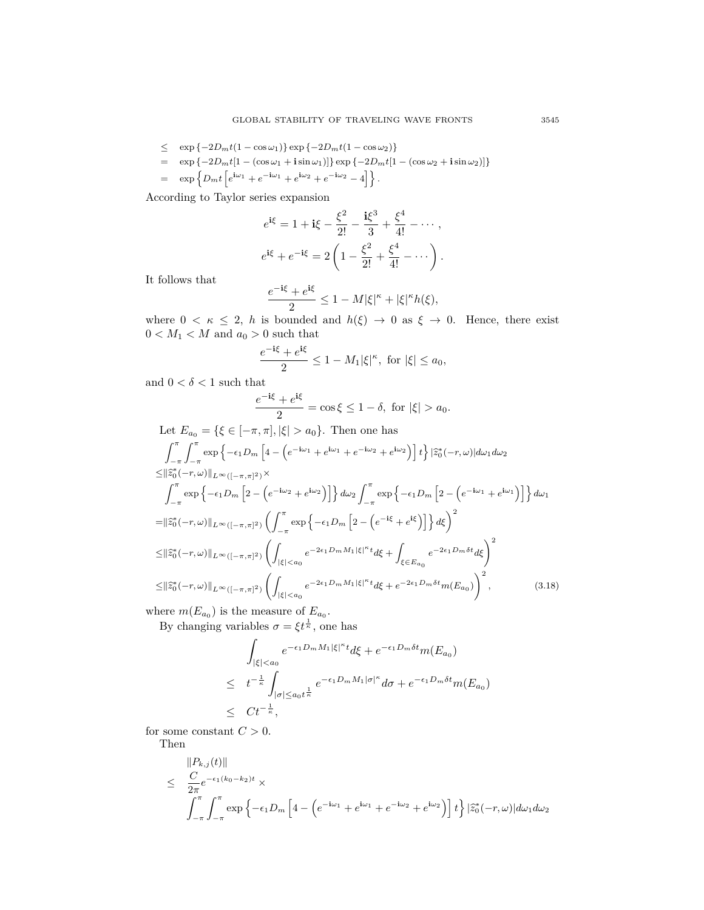$$
\leq \exp\{-2D_m t(1-\cos\omega_1)\}\exp\{-2D_m t(1-\cos\omega_2)\}\
$$
  
= 
$$
\exp\{-2D_m t[1-(\cos\omega_1+\mathbf{i}\sin\omega_1)]\}\exp\{-2D_m t[1-(\cos\omega_2+\mathbf{i}\sin\omega_2)]\}\
$$
  
= 
$$
\exp\left\{D_m t\left[e^{\mathbf{i}\omega_1}+e^{-\mathbf{i}\omega_2}+e^{\mathbf{i}\omega_2}+e^{-\mathbf{i}\omega_2}-4\right]\right\}.
$$

According to Taylor series expansion

$$
e^{\mathbf{i}\xi} = 1 + \mathbf{i}\xi - \frac{\xi^2}{2!} - \frac{\mathbf{i}\xi^3}{3} + \frac{\xi^4}{4!} - \cdots,
$$
  

$$
e^{\mathbf{i}\xi} + e^{-\mathbf{i}\xi} = 2\left(1 - \frac{\xi^2}{2!} + \frac{\xi^4}{4!} - \cdots\right).
$$

It follows that

$$
\frac{e^{-\textbf{i}\xi}+e^{\textbf{i}\xi}}{2}\leq 1-M|\xi|^{\kappa}+|\xi|^{\kappa}h(\xi),
$$

where  $0 < \kappa \leq 2$ , *h* is bounded and  $h(\xi) \to 0$  as  $\xi \to 0$ . Hence, there exist  $0 < M_1 < M$  and  $a_0 > 0$  such that

$$
\frac{e^{-i\xi} + e^{i\xi}}{2} \le 1 - M_1 |\xi|^\kappa, \text{ for } |\xi| \le a_0,
$$

and  $0 < \delta < 1$  such that

$$
\frac{e^{-i\xi} + e^{i\xi}}{2} = \cos \xi \le 1 - \delta, \text{ for } |\xi| > a_0.
$$

Let 
$$
E_{a_0} = \{\xi \in [-\pi, \pi], |\xi| > a_0\}
$$
. Then one has  
\n
$$
\int_{-\pi}^{\pi} \int_{-\pi}^{\pi} \exp\left\{-\epsilon_1 D_m \left[4 - \left(e^{-i\omega_1} + e^{i\omega_1} + e^{-i\omega_2} + e^{i\omega_2}\right)\right]t\right\} |\hat{z}_0^*(-r, \omega)| d\omega_1 d\omega_2
$$
\n
$$
\leq ||\hat{z}_0^*(-r, \omega)||_{L^{\infty}([- \pi, \pi]^2)} \times
$$
\n
$$
\int_{-\pi}^{\pi} \exp\left\{-\epsilon_1 D_m \left[2 - \left(e^{-i\omega_2} + e^{i\omega_2}\right)\right]\right\} d\omega_2 \int_{-\pi}^{\pi} \exp\left\{-\epsilon_1 D_m \left[2 - \left(e^{-i\omega_1} + e^{i\omega_1}\right)\right]\right\} d\omega_1
$$
\n
$$
= ||\hat{z}_0^*(-r, \omega)||_{L^{\infty}([- \pi, \pi]^2)} \left(\int_{-\pi}^{\pi} \exp\left\{-\epsilon_1 D_m \left[2 - \left(e^{-i\xi} + e^{i\xi}\right)\right]\right\} d\xi\right)^2
$$
\n
$$
\leq ||\hat{z}_0^*(-r, \omega)||_{L^{\infty}([- \pi, \pi]^2)} \left(\int_{|\xi| < a_0} e^{-2\epsilon_1 D_m M_1 |\xi|^{\kappa} t} d\xi + \int_{\xi \in E_{a_0}} e^{-2\epsilon_1 D_m \delta t} d\xi\right)^2
$$
\n
$$
\leq ||\hat{z}_0^*(-r, \omega)||_{L^{\infty}([- \pi, \pi]^2)} \left(\int_{|\xi| < a_0} e^{-2\epsilon_1 D_m M_1 |\xi|^{\kappa} t} d\xi + e^{-2\epsilon_1 D_m \delta t} m(E_{a_0})\right)^2, \tag{3.18}
$$

where  $m(E_{a_0})$  is the measure of  $E_{a_0}$ .

By changing variables  $\sigma = \xi t^{\frac{1}{\kappa}}$ , one has

$$
\int_{|\xi|\n
$$
\leq t^{-\frac{1}{\kappa}} \int_{|\sigma| \leq a_0 t^{\frac{1}{\kappa}}} e^{-\epsilon_1 D_m M_1 |\sigma|^\kappa} d\sigma + e^{-\epsilon_1 D_m \delta t} m(E_{a_0})
$$
\n
$$
\leq Ct^{-\frac{1}{\kappa}},
$$
$$

for some constant  $C > 0$ . Then

$$
\leq \frac{C}{2\pi}e^{-\epsilon_1(k_0-k_2)t} \times
$$
  

$$
\int_{-\pi}^{\pi}\int_{-\pi}^{\pi}\exp\left\{-\epsilon_1D_m\left[4-\left(e^{-i\omega_1}+e^{i\omega_1}+e^{-i\omega_2}+e^{i\omega_2}\right)\right]t\right\}\vert \tilde{z}_0^*(-r,\omega)\vert d\omega_1 d\omega_2
$$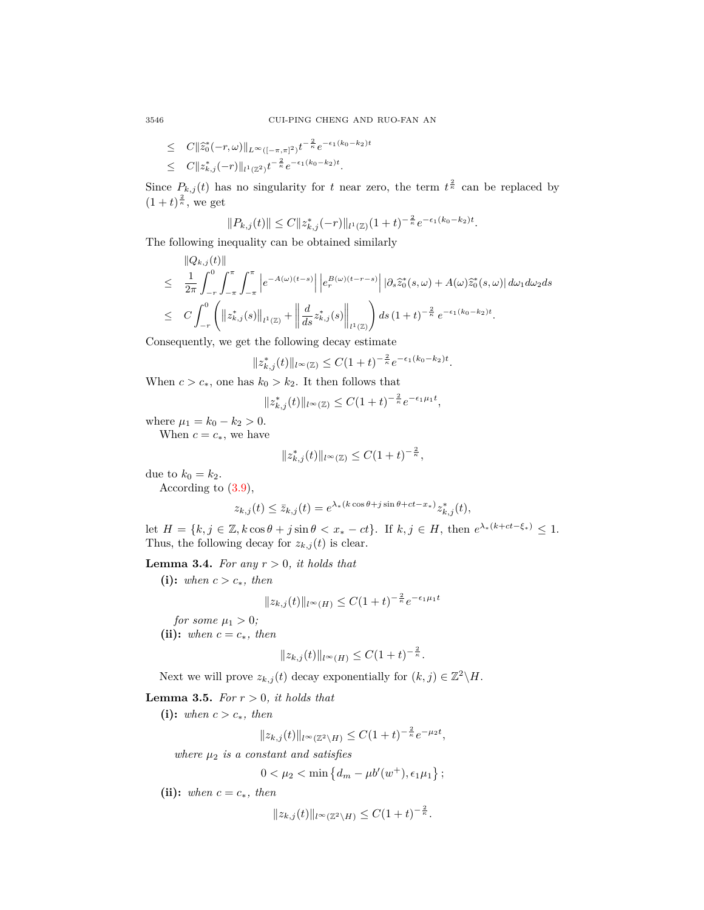$$
\leq C \|\tilde{z}_0^*(-r,\omega)\|_{L^{\infty}([-\pi,\pi]^2)} t^{-\frac{2}{\kappa}} e^{-\epsilon_1(k_0-k_2)t}
$$
  

$$
\leq C \|z_{k,j}^*(-r)\|_{l^1(\mathbb{Z}^2)} t^{-\frac{2}{\kappa}} e^{-\epsilon_1(k_0-k_2)t}.
$$

Since  $P_{k,j}(t)$  has no singularity for *t* near zero, the term  $t^{\frac{2}{\kappa}}$  can be replaced by  $(1+t)^{\frac{2}{\kappa}},$  we get

$$
||P_{k,j}(t)|| \leq C ||z_{k,j}^*(-r)||_{l^1(\mathbb{Z})} (1+t)^{-\frac{2}{\kappa}} e^{-\epsilon_1(k_0-k_2)t}.
$$

The following inequality can be obtained similarly

$$
\|Q_{k,j}(t)\| \n\leq \frac{1}{2\pi}\int_{-r}^{0}\int_{-\pi}^{\pi}\int_{-\pi}^{\pi}\left|e^{-A(\omega)(t-s)}\right|\left|e_{r}^{B(\omega)(t-r-s)}\right||\partial_{s}\hat{z}_{0}^{*}(s,\omega)+A(\omega)\hat{z}_{0}^{*}(s,\omega)| d\omega_{1}d\omega_{2}ds \n\leq C\int_{-r}^{0}\left(\|z_{k,j}^{*}(s)\|_{l^{1}(\mathbb{Z})}+\left\|\frac{d}{ds}z_{k,j}^{*}(s)\right\|_{l^{1}(\mathbb{Z})}\right)ds(1+t)^{-\frac{2}{\kappa}}e^{-\epsilon_{1}(k_{0}-k_{2})t}.
$$

Consequently, we get the following decay estimate

$$
||z_{k,j}^*(t)||_{l^{\infty}(\mathbb{Z})} \leq C(1+t)^{-\frac{2}{\kappa}}e^{-\epsilon_1(k_0-k_2)t}.
$$

When  $c > c_*$ , one has  $k_0 > k_2$ . It then follows that

$$
||z_{k,j}^*(t)||_{l^{\infty}(\mathbb{Z})} \leq C(1+t)^{-\frac{2}{\kappa}}e^{-\epsilon_1\mu_1 t},
$$

where  $\mu_1 = k_0 - k_2 > 0$ .

When  $c = c_*$ , we have

$$
||z_{k,j}^*(t)||_{l^{\infty}(\mathbb{Z})} \leq C(1+t)^{-\frac{2}{\kappa}},
$$

due to  $k_0 = k_2$ .

According to ([3.9](#page-7-3)),

$$
z_{k,j}(t) \le \bar{z}_{k,j}(t) = e^{\lambda_*(k\cos\theta + j\sin\theta + ct - x_*)} z_{k,j}^*(t),
$$

let  $H = \{k, j \in \mathbb{Z}, k \cos \theta + j \sin \theta < x_* - ct\}$ . If  $k, j \in H$ , then  $e^{\lambda_*(k + ct - \xi_*)} \leq 1$ . Thus, the following decay for  $z_{k,j}(t)$  is clear.

<span id="page-11-0"></span>**Lemma 3.4.** *For any*  $r > 0$ *, it holds that* 

(i): *when*  $c > c_*$ *, then* 

$$
||z_{k,j}(t)||_{l^{\infty}(H)} \leq C(1+t)^{-\frac{2}{\kappa}}e^{-\epsilon_1\mu_1 t}
$$

*for some*  $\mu_1 > 0$ *;* (ii): *when*  $c = c_*$ *, then* 

$$
||z_{k,j}(t)||_{l^{\infty}(H)} \leq C(1+t)^{-\frac{2}{\kappa}}.
$$

Next we will prove  $z_{k,j}(t)$  decay exponentially for  $(k, j) \in \mathbb{Z}^2 \backslash H$ .

<span id="page-11-1"></span>**Lemma 3.5.** *For*  $r > 0$ *, it holds that* 

**(i):** *when*  $c > c_*$ *, then* 

$$
||z_{k,j}(t)||_{l^{\infty}(\mathbb{Z}^2 \setminus H)} \leq C(1+t)^{-\frac{2}{\kappa}} e^{-\mu_2 t},
$$

*where*  $\mu_2$  *is a constant and satisfies* 

 $0 < \mu_2 < \min \{d_m - \mu b'(w^+), \epsilon_1 \mu_1\};$ 

(ii): *when*  $c = c_*$ *, then* 

$$
||z_{k,j}(t)||_{l^{\infty}(\mathbb{Z}^2 \setminus H)} \leq C(1+t)^{-\frac{2}{\kappa}}.
$$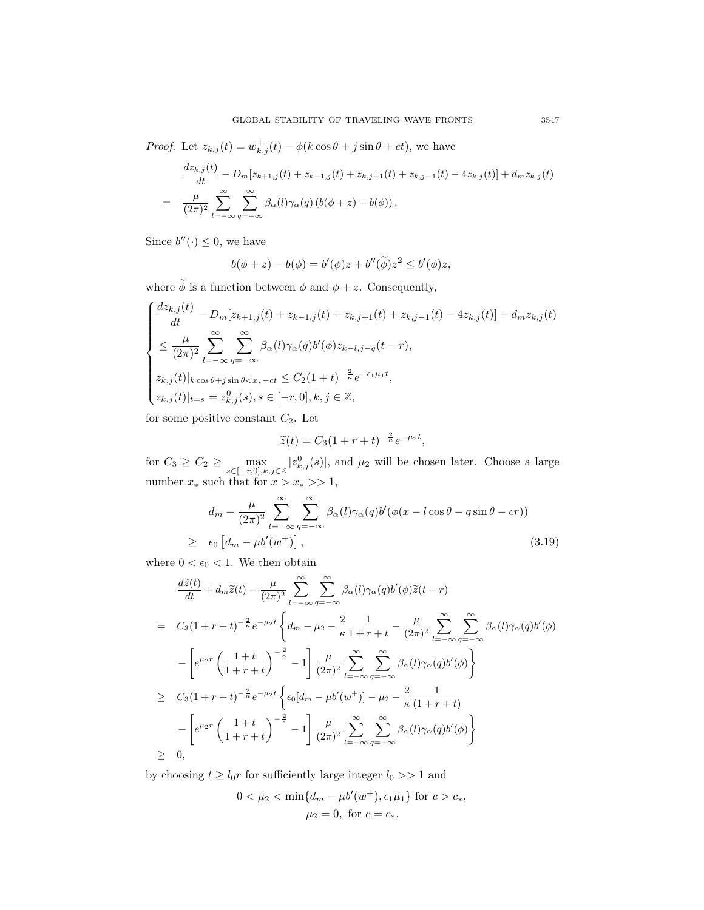*Proof.* Let  $z_{k,j}(t) = w_{k,j}^+(t) - \phi(k \cos \theta + j \sin \theta + ct)$ , we have

$$
\frac{dz_{k,j}(t)}{dt} - D_m[z_{k+1,j}(t) + z_{k-1,j}(t) + z_{k,j+1}(t) + z_{k,j-1}(t) - 4z_{k,j}(t)] + d_m z_{k,j}(t)
$$
\n
$$
= \frac{\mu}{(2\pi)^2} \sum_{l=-\infty}^{\infty} \sum_{q=-\infty}^{\infty} \beta_{\alpha}(l) \gamma_{\alpha}(q) (b(\phi + z) - b(\phi)).
$$

Since  $b''(\cdot) \leq 0$ , we have

$$
b(\phi + z) - b(\phi) = b'(\phi)z + b''(\widetilde{\phi})z^2 \le b'(\phi)z,
$$

where  $\widetilde{\phi}$  is a function between  $\phi$  and  $\phi + z$ . Consequently,

$$
\begin{cases}\n\frac{dz_{k,j}(t)}{dt} - D_m[z_{k+1,j}(t) + z_{k-1,j}(t) + z_{k,j+1}(t) + z_{k,j-1}(t) - 4z_{k,j}(t)] + d_m z_{k,j}(t) \\
\leq \frac{\mu}{(2\pi)^2} \sum_{l=-\infty}^{\infty} \sum_{q=-\infty}^{\infty} \beta_{\alpha}(l)\gamma_{\alpha}(q)b'(\phi)z_{k-l,j-q}(t-r), \\
z_{k,j}(t)|_{k \cos \theta + j \sin \theta < x_{*}-ct} \leq C_2(1+t)^{-\frac{2}{\kappa}} e^{-\epsilon_1 \mu_1 t}, \\
z_{k,j}(t)|_{t=s} = z_{k,j}^0(s), s \in [-r, 0], k, j \in \mathbb{Z},\n\end{cases}
$$

for some positive constant *C*2. Let

$$
\widetilde{z}(t) = C_3(1+r+t)^{-\frac{2}{\kappa}}e^{-\mu_2 t},
$$

for  $C_3 \ge C_2 \ge \max_{s \in [-r,0],k,j \in \mathbb{Z}}$  $|z_{k,j}^{0}(s)|$ , and  $\mu_2$  will be chosen later. Choose a large number  $x_*$  such that for  $x > x_* >> 1$ ,

<span id="page-12-0"></span>
$$
d_m - \frac{\mu}{(2\pi)^2} \sum_{l=-\infty}^{\infty} \sum_{q=-\infty}^{\infty} \beta_{\alpha}(l) \gamma_{\alpha}(q) b'(\phi(x - l\cos\theta - q\sin\theta - cr))
$$
  
 
$$
\geq \epsilon_0 \left[ d_m - \mu b'(w^+) \right], \tag{3.19}
$$

where  $0 < \epsilon_0 < 1$ . We then obtain

$$
\frac{d\widetilde{z}(t)}{dt} + d_m \widetilde{z}(t) - \frac{\mu}{(2\pi)^2} \sum_{l=-\infty}^{\infty} \sum_{q=-\infty}^{\infty} \beta_{\alpha}(l) \gamma_{\alpha}(q) b'(\phi) \widetilde{z}(t-r)
$$
\n
$$
= C_3 (1+r+t)^{-\frac{2}{\kappa}} e^{-\mu_2 t} \left\{ d_m - \mu_2 - \frac{2}{\kappa} \frac{1}{1+r+t} - \frac{\mu}{(2\pi)^2} \sum_{l=-\infty}^{\infty} \sum_{q=-\infty}^{\infty} \beta_{\alpha}(l) \gamma_{\alpha}(q) b'(\phi) \right\}
$$
\n
$$
- \left[ e^{\mu_2 r} \left( \frac{1+t}{1+r+t} \right)^{-\frac{2}{\kappa}} - 1 \right] \frac{\mu}{(2\pi)^2} \sum_{l=-\infty}^{\infty} \sum_{q=-\infty}^{\infty} \beta_{\alpha}(l) \gamma_{\alpha}(q) b'(\phi) \right\}
$$
\n
$$
\geq C_3 (1+r+t)^{-\frac{2}{\kappa}} e^{-\mu_2 t} \left\{ \epsilon_0 [d_m - \mu b'(w^+)] - \mu_2 - \frac{2}{\kappa} \frac{1}{(1+r+t)} \right\}
$$
\n
$$
- \left[ e^{\mu_2 r} \left( \frac{1+t}{1+r+t} \right)^{-\frac{2}{\kappa}} - 1 \right] \frac{\mu}{(2\pi)^2} \sum_{l=-\infty}^{\infty} \sum_{q=-\infty}^{\infty} \beta_{\alpha}(l) \gamma_{\alpha}(q) b'(\phi) \right\}
$$
\n
$$
\geq 0,
$$

by choosing  $t \ge l_0 r$  for sufficiently large integer  $l_0 >> 1$  and

$$
0 < \mu_2 < \min\{d_m - \mu b'(w^+), \epsilon_1 \mu_1\} \text{ for } c > c_*,
$$
\n
$$
\mu_2 = 0, \text{ for } c = c_*.
$$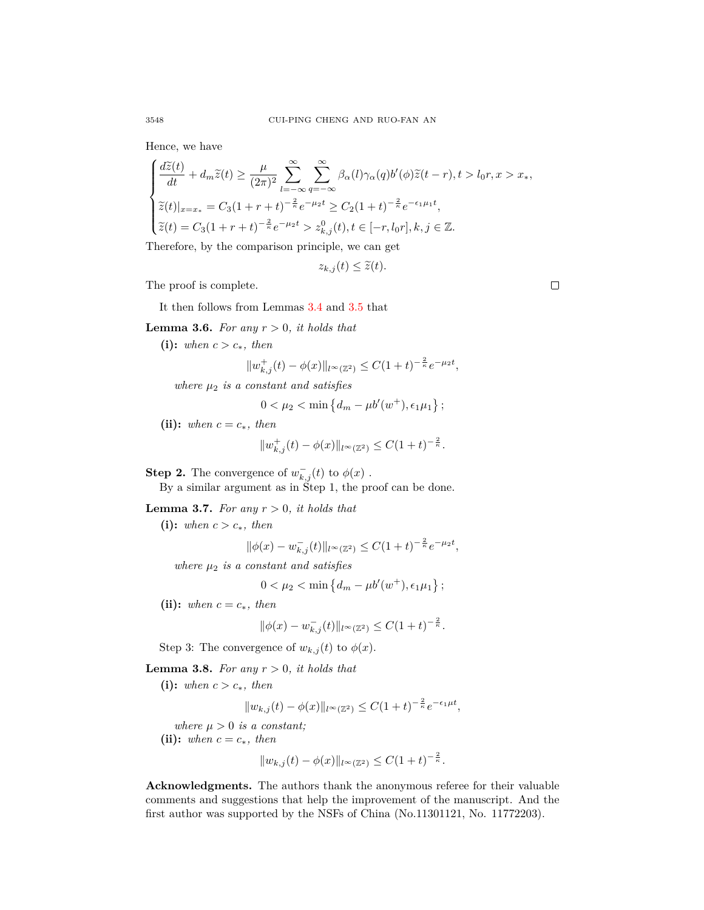Hence, we have

$$
\begin{cases}\n\frac{d\widetilde{z}(t)}{dt} + d_m \widetilde{z}(t) \ge \frac{\mu}{(2\pi)^2} \sum_{l=-\infty}^{\infty} \sum_{q=-\infty}^{\infty} \beta_{\alpha}(l) \gamma_{\alpha}(q) b'(\phi) \widetilde{z}(t-r), t > l_0 r, x > x_*,\\ \n\widetilde{z}(t)|_{x=x_*} = C_3 (1+r+t)^{-\frac{2}{\kappa}} e^{-\mu_2 t} \ge C_2 (1+t)^{-\frac{2}{\kappa}} e^{-\epsilon_1 \mu_1 t},\\ \n\widetilde{z}(t) = C_3 (1+r+t)^{-\frac{2}{\kappa}} e^{-\mu_2 t} > z_{k,j}^0(t), t \in [-r, l_0 r], k, j \in \mathbb{Z}.\n\end{cases}
$$

Therefore, by the comparison principle, we can get

$$
z_{k,j}(t) \leq \widetilde{z}(t).
$$

The proof is complete.

It then follows from Lemmas [3.4](#page-11-0) and [3.5](#page-11-1) that

**Lemma 3.6.** For any  $r > 0$ , it holds that

(i): *when*  $c > c_*$ *, then* 

$$
||w_{k,j}^+(t) - \phi(x)||_{l^{\infty}(\mathbb{Z}^2)} \leq C(1+t)^{-\frac{2}{\kappa}}e^{-\mu_2 t},
$$

*where µ*<sup>2</sup> *is a constant and satisfies*

$$
0 < \mu_2 < \min \left\{ d_m - \mu b'(w^+), \epsilon_1 \mu_1 \right\};
$$

(ii): *when*  $c = c_*$ *, then* 

$$
||w_{k,j}^+(t) - \phi(x)||_{l^{\infty}(\mathbb{Z}^2)} \leq C(1+t)^{-\frac{2}{\kappa}}.
$$

**Step 2.** The convergence of  $w_{k,j}^{-}(t)$  to  $\phi(x)$ .

By a similar argument as in Step 1, the proof can be done.

**Lemma 3.7.** For any  $r > 0$ , it holds that

**(i):** *when*  $c > c_*$ *, then* 

$$
\|\phi(x) - w_{k,j}^-(t)\|_{l^\infty(\mathbb{Z}^2)} \le C(1+t)^{-\frac{2}{\kappa}}e^{-\mu_2 t},
$$

*where µ*<sup>2</sup> *is a constant and satisfies*

$$
0 < \mu_2 < \min \left\{ d_m - \mu b'(w^+), \epsilon_1 \mu_1 \right\};
$$

**(ii):** when  $c = c_*$ , then

$$
\|\phi(x) - w_{k,j}^-(t)\|_{l^\infty(\mathbb{Z}^2)} \le C(1+t)^{-\frac{2}{\kappa}}.
$$

Step 3: The convergence of  $w_{k,j}(t)$  to  $\phi(x)$ .

**Lemma 3.8.** *For any*  $r > 0$ *, it holds that* 

(i): *when*  $c > c_*$ *, then* 

 $||w_{k,j}(t) - \phi(x)||_{l^{\infty}(\mathbb{Z}^2)} \leq C(1+t)^{-\frac{2}{\kappa}}e^{-\epsilon_1\mu t},$ 

*where*  $\mu > 0$  *is a constant*;

(ii): *when*  $c = c_*$ *, then* 

$$
||w_{k,j}(t) - \phi(x)||_{l^{\infty}(\mathbb{Z}^2)} \leq C(1+t)^{-\frac{2}{\kappa}}.
$$

**Acknowledgments.** The authors thank the anonymous referee for their valuable comments and suggestions that help the improvement of the manuscript. And the first author was supported by the NSFs of China (No.11301121, No. 11772203).

 $\Box$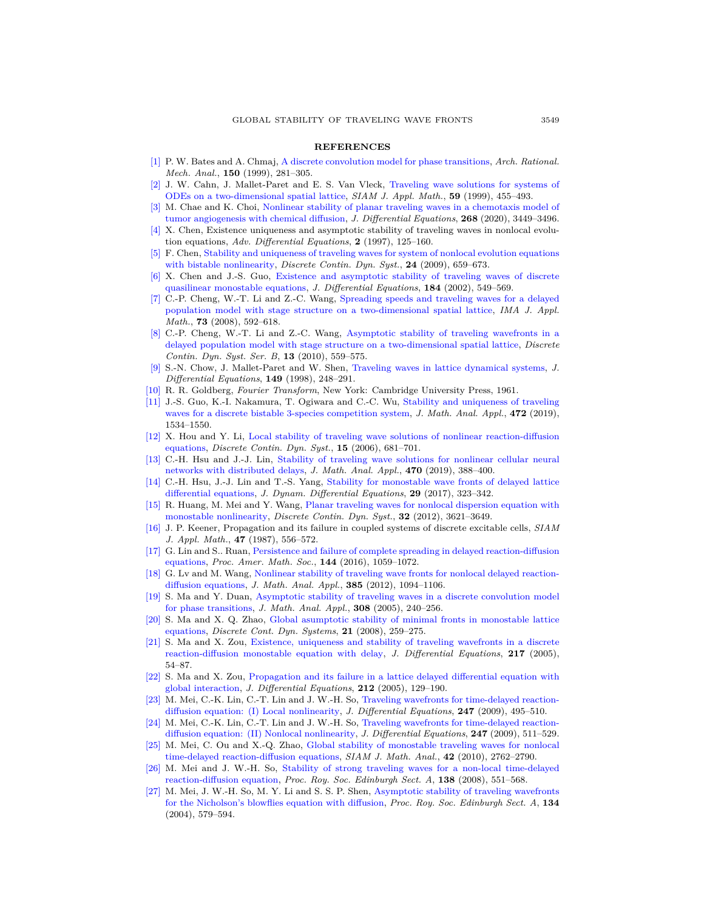## **REFERENCES**

- <span id="page-14-4"></span>[\[1\]](http://www.ams.org/mathscinet-getitem?mr=MR1741258&return=pdf) P. W. Bates and A. Chmaj, [A discrete convolution model for phase transitions,](http://dx.doi.org/10.1007/s002050050189) *Arch. Rational. Mech. Anal.*, **150** (1999), 281–305.
- [\[2\]](http://www.ams.org/mathscinet-getitem?mr=MR1654427&return=pdf) J. W. Cahn, J. Mallet-Paret and E. S. Van Vleck, [Traveling wave solutions for systems of](http://dx.doi.org/10.1137/S0036139996312703) [ODEs on a two-dimensional spatial lattice,](http://dx.doi.org/10.1137/S0036139996312703) *SIAM J. Appl. Math.*, **59** (1999), 455–493.
- [\[3\]](http://www.ams.org/mathscinet-getitem?mr=MR4053596&return=pdf) M. Chae and K. Choi, [Nonlinear stability of planar traveling waves in a chemotaxis model of](http://dx.doi.org/10.1016/j.jde.2019.09.061) [tumor angiogenesis with chemical diffusion](http://dx.doi.org/10.1016/j.jde.2019.09.061), *J. Differential Equations*, **268** (2020), 3449–3496.
- <span id="page-14-5"></span>[\[4\]](http://www.ams.org/mathscinet-getitem?mr=MR1424765&return=pdf) X. Chen, Existence uniqueness and asymptotic stability of traveling waves in nonlocal evolution equations, *Adv. Differential Equations*, **2** (1997), 125–160.
- <span id="page-14-13"></span>[\[5\]](http://www.ams.org/mathscinet-getitem?mr=MR2505676&return=pdf) F. Chen, [Stability and uniqueness of traveling waves for system of nonlocal evolution equations](http://dx.doi.org/10.3934/dcds.2009.24.659) [with bistable nonlinearity,](http://dx.doi.org/10.3934/dcds.2009.24.659) *Discrete Contin. Dyn. Syst.*, **24** (2009), 659–673.
- <span id="page-14-6"></span>[\[6\]](http://www.ams.org/mathscinet-getitem?mr=MR1929888&return=pdf) X. Chen and J.-S. Guo, [Existence and asymptotic stability of traveling waves of discrete](http://dx.doi.org/10.1006/jdeq.2001.4153) [quasilinear monostable equations](http://dx.doi.org/10.1006/jdeq.2001.4153), *J. Differential Equations*, **184** (2002), 549–569.
- <span id="page-14-2"></span>[\[7\]](http://www.ams.org/mathscinet-getitem?mr=MR2445105&return=pdf) C.-P. Cheng, W.-T. Li and Z.-C. Wang, [Spreading speeds and traveling waves for a delayed](http://dx.doi.org/10.1093/imamat/hxn003) [population model with stage structure on a two-dimensional spatial lattice](http://dx.doi.org/10.1093/imamat/hxn003), *IMA J. Appl. Math.*, **73** (2008), 592–618.
- <span id="page-14-3"></span>[\[8\]](http://www.ams.org/mathscinet-getitem?mr=MR2601080&return=pdf) C.-P. Cheng, W.-T. Li and Z.-C. Wang, [Asymptotic stability of traveling wavefronts in a](http://dx.doi.org/10.3934/dcdsb.2010.13.559) [delayed population model with stage structure on a two-dimensional spatial lattice](http://dx.doi.org/10.3934/dcdsb.2010.13.559), *Discrete Contin. Dyn. Syst. Ser. B*, **13** (2010), 559–575.
- <span id="page-14-0"></span>[\[9\]](http://www.ams.org/mathscinet-getitem?mr=MR1646240&return=pdf) S.-N. Chow, J. Mallet-Paret and W. Shen, [Traveling waves in lattice dynamical systems,](http://dx.doi.org/10.1006/jdeq.1998.3478) *J. Differential Equations*, **149** (1998), 248–291.
- <span id="page-14-19"></span>[\[10\]](http://www.ams.org/mathscinet-getitem?mr=MR0120501&return=pdf) R. R. Goldberg, *Fourier Transform*, New York: Cambridge University Press, 1961.
- <span id="page-14-7"></span>[\[11\]](http://www.ams.org/mathscinet-getitem?mr=MR3906439&return=pdf) J.-S. Guo, K.-I. Nakamura, T. Ogiwara and C.-C. Wu, [Stability and uniqueness of traveling](http://dx.doi.org/10.1016/j.jmaa.2018.12.007) [waves for a discrete bistable 3-species competition system](http://dx.doi.org/10.1016/j.jmaa.2018.12.007), *J. Math. Anal. Appl.*, **472** (2019), 1534–1550.
- <span id="page-14-14"></span>[\[12\]](http://www.ams.org/mathscinet-getitem?mr=MR2199451&return=pdf) X. Hou and Y. Li, [Local stability of traveling wave solutions of nonlinear reaction-diffusion](http://dx.doi.org/10.3934/dcds.2006.15.681) [equations,](http://dx.doi.org/10.3934/dcds.2006.15.681) *Discrete Contin. Dyn. Syst.*, **15** (2006), 681–701.
- <span id="page-14-8"></span>[\[13\]](http://www.ams.org/mathscinet-getitem?mr=MR3865145&return=pdf) C.-H. Hsu and J.-J. Lin, [Stability of traveling wave solutions for nonlinear cellular neural](http://dx.doi.org/10.1016/j.jmaa.2018.10.010) [networks with distributed delays,](http://dx.doi.org/10.1016/j.jmaa.2018.10.010) *J. Math. Anal. Appl.*, **470** (2019), 388–400.
- <span id="page-14-1"></span>[\[14\]](http://www.ams.org/mathscinet-getitem?mr=MR3612977&return=pdf) C.-H. Hsu, J.-J. Lin and T.-S. Yang, [Stability for monostable wave fronts of delayed lattice](http://dx.doi.org/10.1007/s10884-015-9447-9) [differential equations](http://dx.doi.org/10.1007/s10884-015-9447-9), *J. Dynam. Differential Equations*, **29** (2017), 323–342.
- <span id="page-14-15"></span>[\[15\]](http://www.ams.org/mathscinet-getitem?mr=MR2945832&return=pdf) R. Huang, M. Mei and Y. Wang, [Planar traveling waves for nonlocal dispersion equation with](http://dx.doi.org/10.3934/dcds.2012.32.3621) [monostable nonlinearity,](http://dx.doi.org/10.3934/dcds.2012.32.3621) *Discrete Contin. Dyn. Syst.*, **32** (2012), 3621–3649.
- <span id="page-14-9"></span>[\[16\]](http://www.ams.org/mathscinet-getitem?mr=MR889639&return=pdf) J. P. Keener, Propagation and its failure in coupled systems of discrete excitable cells, *SIAM J. Appl. Math.*, **47** (1987), 556–572.
- <span id="page-14-10"></span>[\[17\]](http://www.ams.org/mathscinet-getitem?mr=MR3447660&return=pdf) G. Lin and S.. Ruan, [Persistence and failure of complete spreading in delayed reaction-diffusion](http://dx.doi.org/10.1090/proc/12811) [equations,](http://dx.doi.org/10.1090/proc/12811) *Proc. Amer. Math. Soc.*, **144** (2016), 1059–1072.
- <span id="page-14-16"></span>[\[18\]](http://www.ams.org/mathscinet-getitem?mr=MR2834913&return=pdf) G. Lv and M. Wang, [Nonlinear stability of traveling wave fronts for nonlocal delayed reaction](http://dx.doi.org/10.1016/j.jmaa.2011.07.033)[diffusion equations](http://dx.doi.org/10.1016/j.jmaa.2011.07.033), *J. Math. Anal. Appl.*, **385** (2012), 1094–1106.
- <span id="page-14-11"></span>[\[19\]](http://www.ams.org/mathscinet-getitem?mr=MR2142416&return=pdf) S. Ma and Y. Duan, [Asymptotic stability of traveling waves in a discrete convolution model](http://dx.doi.org/10.1016/j.jmaa.2005.01.011) [for phase transitions](http://dx.doi.org/10.1016/j.jmaa.2005.01.011), *J. Math. Anal. Appl.*, **308** (2005), 240–256.
- [\[20\]](http://www.ams.org/mathscinet-getitem?mr=MR2379465&return=pdf) S. Ma and X. Q. Zhao, [Global asumptotic stability of minimal fronts in monostable lattice](http://dx.doi.org/10.3934/dcds.2008.21.259) [equations,](http://dx.doi.org/10.3934/dcds.2008.21.259) *Discrete Cont. Dyn. Systems*, **21** (2008), 259–275.
- [\[21\]](http://www.ams.org/mathscinet-getitem?mr=MR2170528&return=pdf) S. Ma and X. Zou, [Existence, uniqueness and stability of traveling wavefronts in a discrete](http://dx.doi.org/10.1016/j.jde.2005.05.004) [reaction-diffusion monostable equation with delay](http://dx.doi.org/10.1016/j.jde.2005.05.004), *J. Differential Equations*, **217** (2005), 54–87.
- <span id="page-14-12"></span>[\[22\]](http://www.ams.org/mathscinet-getitem?mr=MR2130550&return=pdf) S. Ma and X. Zou, [Propagation and its failure in a lattice delayed differential equation with](http://dx.doi.org/10.1016/j.jde.2004.07.014) [global interaction](http://dx.doi.org/10.1016/j.jde.2004.07.014), *J. Differential Equations*, **212** (2005), 129–190.
- <span id="page-14-17"></span>[\[23\]](http://www.ams.org/mathscinet-getitem?mr=MR2523688&return=pdf) M. Mei, C.-K. Lin, C.-T. Lin and J. W.-H. So, [Traveling wavefronts for time-delayed reaction](http://dx.doi.org/10.1016/j.jde.2008.12.026)[diffusion equation: \(I\) Local nonlinearity](http://dx.doi.org/10.1016/j.jde.2008.12.026), *J. Differential Equations*, **247** (2009), 495–510.
- [\[24\]](http://www.ams.org/mathscinet-getitem?mr=MR2523689&return=pdf) M. Mei, C.-K. Lin, C.-T. Lin and J. W.-H. So, [Traveling wavefronts for time-delayed reaction](http://dx.doi.org/10.1016/j.jde.2008.12.020)[diffusion equation: \(II\) Nonlocal nonlinearity](http://dx.doi.org/10.1016/j.jde.2008.12.020), *J. Differential Equations*, **247** (2009), 511–529.
- <span id="page-14-18"></span>[\[25\]](http://www.ams.org/mathscinet-getitem?mr=MR2745791&return=pdf) M. Mei, C. Ou and X.-Q. Zhao, [Global stability of monostable traveling waves for nonlocal](http://dx.doi.org/10.1137/090776342) [time-delayed reaction-diffusion equations](http://dx.doi.org/10.1137/090776342), *SIAM J. Math. Anal.*, **42** (2010), 2762–2790.
- [\[26\]](http://www.ams.org/mathscinet-getitem?mr=MR2418127&return=pdf) M. Mei and J. W.-H. So, [Stability of strong traveling waves for a non-local time-delayed](http://dx.doi.org/10.1017/S0308210506000333) [reaction-diffusion equation](http://dx.doi.org/10.1017/S0308210506000333), *Proc. Roy. Soc. Edinburgh Sect. A*, **138** (2008), 551–568.
- [\[27\]](http://www.ams.org/mathscinet-getitem?mr=MR2068117&return=pdf) M. Mei, J. W.-H. So, M. Y. Li and S. S. P. Shen, [Asymptotic stability of traveling wavefronts](http://dx.doi.org/10.1017/S0308210500003358) [for the Nicholson's blowflies equation with diffusion](http://dx.doi.org/10.1017/S0308210500003358), *Proc. Roy. Soc. Edinburgh Sect. A*, **134** (2004), 579–594.